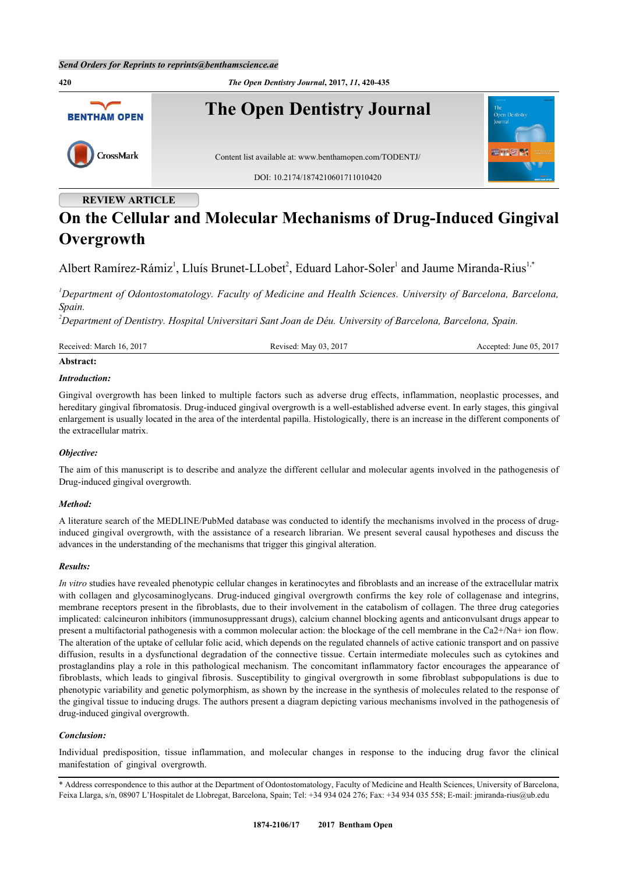

# **On the Cellular and Molecular Mechanisms of Drug-Induced Gingival Overgrowth**

Albert Ramírez-Rámiz<sup>[1](#page-0-0)</sup>, Lluís Brunet-LLobet<sup>[2](#page-0-1)</sup>, Eduard Lahor-Soler<sup>1</sup> and Jaume Miranda-Rius<sup>1[,\\*](#page-0-2)</sup>

<span id="page-0-0"></span>*<sup>1</sup>Department of Odontostomatology. Faculty of Medicine and Health Sciences. University of Barcelona, Barcelona, Spain.*

<span id="page-0-1"></span>*<sup>2</sup>Department of Dentistry. Hospital Universitari Sant Joan de Déu. University of Barcelona, Barcelona, Spain.*

Received: March 16, 2017 Revised: May 03, 2017 Accepted: June 05, 2017

# **Abstract:**

### *Introduction:*

Gingival overgrowth has been linked to multiple factors such as adverse drug effects, inflammation, neoplastic processes, and hereditary gingival fibromatosis. Drug-induced gingival overgrowth is a well-established adverse event. In early stages, this gingival enlargement is usually located in the area of the interdental papilla. Histologically, there is an increase in the different components of the extracellular matrix.

# *Objective:*

The aim of this manuscript is to describe and analyze the different cellular and molecular agents involved in the pathogenesis of Drug-induced gingival overgrowth.

# *Method:*

A literature search of the MEDLINE/PubMed database was conducted to identify the mechanisms involved in the process of druginduced gingival overgrowth, with the assistance of a research librarian. We present several causal hypotheses and discuss the advances in the understanding of the mechanisms that trigger this gingival alteration.

# *Results:*

*In vitro* studies have revealed phenotypic cellular changes in keratinocytes and fibroblasts and an increase of the extracellular matrix with collagen and glycosaminoglycans. Drug-induced gingival overgrowth confirms the key role of collagenase and integrins, membrane receptors present in the fibroblasts, due to their involvement in the catabolism of collagen. The three drug categories implicated: calcineuron inhibitors (immunosuppressant drugs), calcium channel blocking agents and anticonvulsant drugs appear to present a multifactorial pathogenesis with a common molecular action: the blockage of the cell membrane in the Ca2+/Na+ ion flow. The alteration of the uptake of cellular folic acid, which depends on the regulated channels of active cationic transport and on passive diffusion, results in a dysfunctional degradation of the connective tissue. Certain intermediate molecules such as cytokines and prostaglandins play a role in this pathological mechanism. The concomitant inflammatory factor encourages the appearance of fibroblasts, which leads to gingival fibrosis. Susceptibility to gingival overgrowth in some fibroblast subpopulations is due to phenotypic variability and genetic polymorphism, as shown by the increase in the synthesis of molecules related to the response of the gingival tissue to inducing drugs. The authors present a diagram depicting various mechanisms involved in the pathogenesis of drug-induced gingival overgrowth.

# *Conclusion:*

Individual predisposition, tissue inflammation, and molecular changes in response to the inducing drug favor the clinical manifestation of gingival overgrowth.

<span id="page-0-2"></span><sup>\*</sup> Address correspondence to this author at the Department of Odontostomatology, Faculty of Medicine and Health Sciences, University of Barcelona, Feixa Llarga, s/n, 08907 L'Hospitalet de Llobregat, Barcelona, Spain; Tel: +34 934 024 276; Fax: +34 934 035 558; E-mail: [jmiranda-rius@ub.edu](mailto:jmiranda-rius@ub.edu)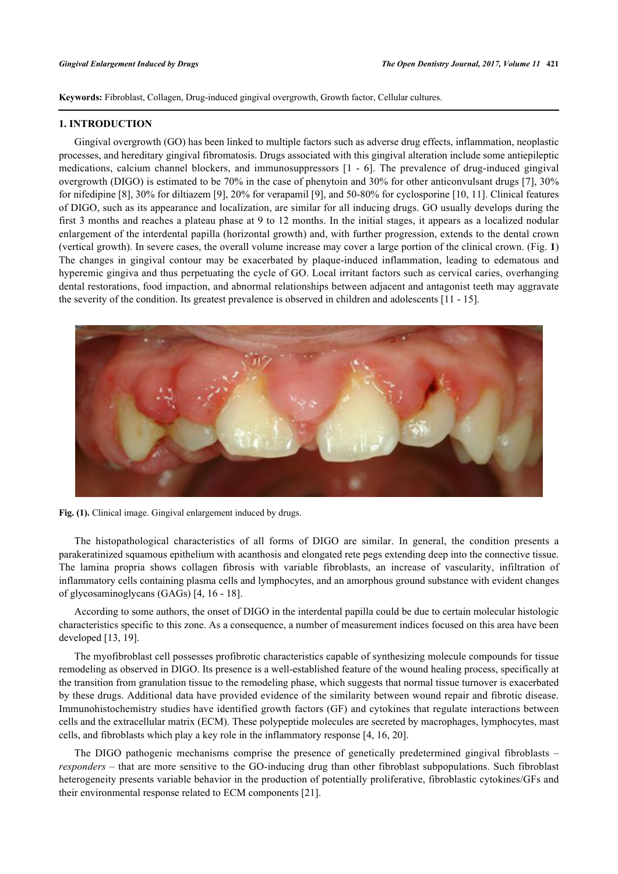**Keywords:** Fibroblast, Collagen, Drug-induced gingival overgrowth, Growth factor, Cellular cultures.

# **1. INTRODUCTION**

Gingival overgrowth (GO) has been linked to multiple factors such as adverse drug effects, inflammation, neoplastic processes, and hereditary gingival fibromatosis. Drugs associated with this gingival alteration include some antiepileptic medications, calcium channel blockers, and immunosuppressors[[1](#page-9-0) - [6\]](#page-10-0). The prevalence of drug-induced gingival overgrowth (DIGO) is estimated to be 70% in the case of phenytoin and 30% for other anticonvulsant drugs [\[7](#page-10-1)], 30% for nifedipine [\[8](#page-10-2)], 30% for diltiazem [[9\]](#page-10-3), 20% for verapamil [\[9](#page-10-3)], and 50-80% for cyclosporine [\[10](#page-10-4), [11](#page-10-5)]. Clinical features of DIGO, such as its appearance and localization, are similar for all inducing drugs. GO usually develops during the first 3 months and reaches a plateau phase at 9 to 12 months. In the initial stages, it appears as a localized nodular enlargement of the interdental papilla (horizontal growth) and, with further progression, extends to the dental crown (vertical growth). In severe cases, the overall volume increase may cover a large portion of the clinical crown. (Fig. **[1](#page-1-0)**) The changes in gingival contour may be exacerbated by plaque-induced inflammation, leading to edematous and hyperemic gingiva and thus perpetuating the cycle of GO. Local irritant factors such as cervical caries, overhanging dental restorations, food impaction, and abnormal relationships between adjacent and antagonist teeth may aggravate the severity of the condition. Its greatest prevalence is observed in children and adolescents [\[11](#page-10-5) - [15](#page-10-6)].

<span id="page-1-0"></span>

Fig. (1). Clinical image. Gingival enlargement induced by drugs.

The histopathological characteristics of all forms of DIGO are similar. In general, the condition presents a parakeratinized squamous epithelium with acanthosis and elongated rete pegs extending deep into the connective tissue. The lamina propria shows collagen fibrosis with variable fibroblasts, an increase of vascularity, infiltration of inflammatory cells containing plasma cells and lymphocytes, and an amorphous ground substance with evident changes of glycosaminoglycans (GAGs) [[4,](#page-9-1) [16](#page-10-7) - [18](#page-10-8)].

According to some authors, the onset of DIGO in the interdental papilla could be due to certain molecular histologic characteristics specific to this zone. As a consequence, a number of measurement indices focused on this area have been developed [[13,](#page-10-9) [19\]](#page-10-10).

The myofibroblast cell possesses profibrotic characteristics capable of synthesizing molecule compounds for tissue remodeling as observed in DIGO. Its presence is a well-established feature of the wound healing process, specifically at the transition from granulation tissue to the remodeling phase, which suggests that normal tissue turnover is exacerbated by these drugs. Additional data have provided evidence of the similarity between wound repair and fibrotic disease. Immunohistochemistry studies have identified growth factors (GF) and cytokines that regulate interactions between cells and the extracellular matrix (ECM). These polypeptide molecules are secreted by macrophages, lymphocytes, mast cells, and fibroblasts which play a key role in the inflammatory response [\[4](#page-9-1), [16](#page-10-7), [20](#page-10-11)].

The DIGO pathogenic mechanisms comprise the presence of genetically predetermined gingival fibroblasts – *responders –* that are more sensitive to the GO-inducing drug than other fibroblast subpopulations. Such fibroblast heterogeneity presents variable behavior in the production of potentially proliferative, fibroblastic cytokines/GFs and their environmental response related to ECM components [[21\]](#page-10-12).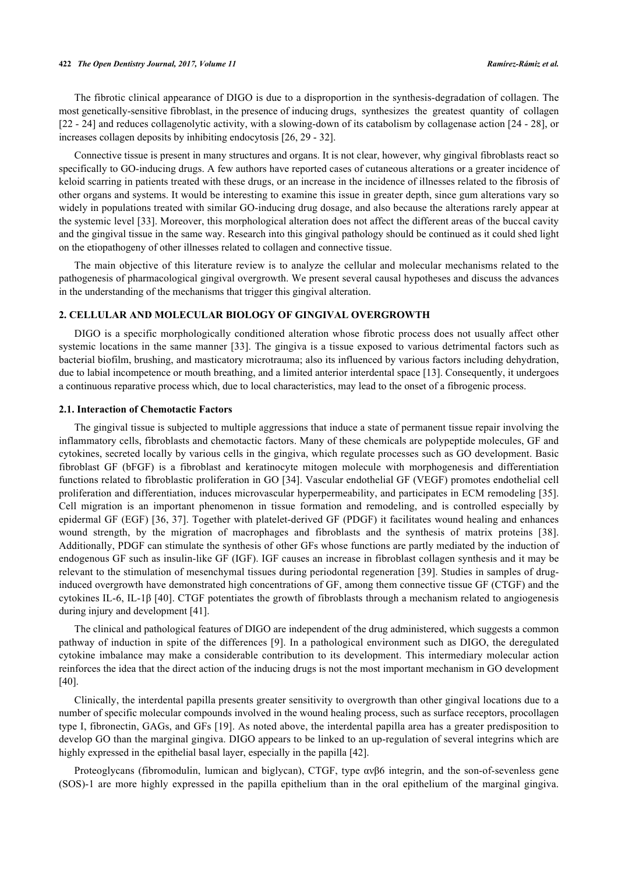The fibrotic clinical appearance of DIGO is due to a disproportion in the synthesis-degradation of collagen. The most genetically-sensitive fibroblast, in the presence of inducing drugs, synthesizes the greatest quantity of collagen [\[22](#page-10-13) - [24\]](#page-10-14) and reduces collagenolytic activity, with a slowing-down of its catabolism by collagenase action [[24](#page-10-14) - [28\]](#page-11-0), or increases collagen deposits by inhibiting endocytosis [\[26](#page-11-1), [29](#page-11-2) - [32\]](#page-11-3).

Connective tissue is present in many structures and organs. It is not clear, however, why gingival fibroblasts react so specifically to GO-inducing drugs. A few authors have reported cases of cutaneous alterations or a greater incidence of keloid scarring in patients treated with these drugs, or an increase in the incidence of illnesses related to the fibrosis of other organs and systems. It would be interesting to examine this issue in greater depth, since gum alterations vary so widely in populations treated with similar GO-inducing drug dosage, and also because the alterations rarely appear at the systemic level [[33\]](#page-11-4). Moreover, this morphological alteration does not affect the different areas of the buccal cavity and the gingival tissue in the same way. Research into this gingival pathology should be continued as it could shed light on the etiopathogeny of other illnesses related to collagen and connective tissue.

The main objective of this literature review is to analyze the cellular and molecular mechanisms related to the pathogenesis of pharmacological gingival overgrowth. We present several causal hypotheses and discuss the advances in the understanding of the mechanisms that trigger this gingival alteration.

# **2. CELLULAR AND MOLECULAR BIOLOGY OF GINGIVAL OVERGROWTH**

DIGO is a specific morphologically conditioned alteration whose fibrotic process does not usually affect other systemic locations in the same manner [[33](#page-11-4)]. The gingiva is a tissue exposed to various detrimental factors such as bacterial biofilm, brushing, and masticatory microtrauma; also its influenced by various factors including dehydration, due to labial incompetence or mouth breathing, and a limited anterior interdental space [[13\]](#page-10-9). Consequently, it undergoes a continuous reparative process which, due to local characteristics, may lead to the onset of a fibrogenic process.

#### **2.1. Interaction of Chemotactic Factors**

The gingival tissue is subjected to multiple aggressions that induce a state of permanent tissue repair involving the inflammatory cells, fibroblasts and chemotactic factors. Many of these chemicals are polypeptide molecules, GF and cytokines, secreted locally by various cells in the gingiva, which regulate processes such as GO development. Basic fibroblast GF (bFGF) is a fibroblast and keratinocyte mitogen molecule with morphogenesis and differentiation functions related to fibroblastic proliferation in GO [\[34\]](#page-11-5). Vascular endothelial GF (VEGF) promotes endothelial cell proliferation and differentiation, induces microvascular hyperpermeability, and participates in ECM remodeling [[35\]](#page-11-6). Cell migration is an important phenomenon in tissue formation and remodeling, and is controlled especially by epidermal GF (EGF) [[36,](#page-11-7) [37\]](#page-11-8). Together with platelet-derived GF (PDGF) it facilitates wound healing and enhances wound strength, by the migration of macrophages and fibroblasts and the synthesis of matrix proteins [\[38\]](#page-11-9). Additionally, PDGF can stimulate the synthesis of other GFs whose functions are partly mediated by the induction of endogenous GF such as insulin-like GF (IGF). IGF causes an increase in fibroblast collagen synthesis and it may be relevant to the stimulation of mesenchymal tissues during periodontal regeneration [[39](#page-11-10)]. Studies in samples of druginduced overgrowth have demonstrated high concentrations of GF, among them connective tissue GF (CTGF) and the cytokines IL-6, IL-1β [\[40](#page-11-11)]. CTGF potentiates the growth of fibroblasts through a mechanism related to angiogenesis during injury and development [\[41](#page-11-12)].

The clinical and pathological features of DIGO are independent of the drug administered, which suggests a common pathway of induction in spite of the differences [\[9\]](#page-10-3). In a pathological environment such as DIGO, the deregulated cytokine imbalance may make a considerable contribution to its development. This intermediary molecular action reinforces the idea that the direct action of the inducing drugs is not the most important mechanism in GO development [\[40](#page-11-11)].

Clinically, the interdental papilla presents greater sensitivity to overgrowth than other gingival locations due to a number of specific molecular compounds involved in the wound healing process, such as surface receptors, procollagen type I, fibronectin, GAGs, and GFs [\[19](#page-10-10)]. As noted above, the interdental papilla area has a greater predisposition to develop GO than the marginal gingiva. DIGO appears to be linked to an up-regulation of several integrins which are highly expressed in the epithelial basal layer, especially in the papilla [[42\]](#page-11-13).

Proteoglycans (fibromodulin, lumican and biglycan), CTGF, type ανβ6 integrin, and the son-of-sevenless gene (SOS)-1 are more highly expressed in the papilla epithelium than in the oral epithelium of the marginal gingiva.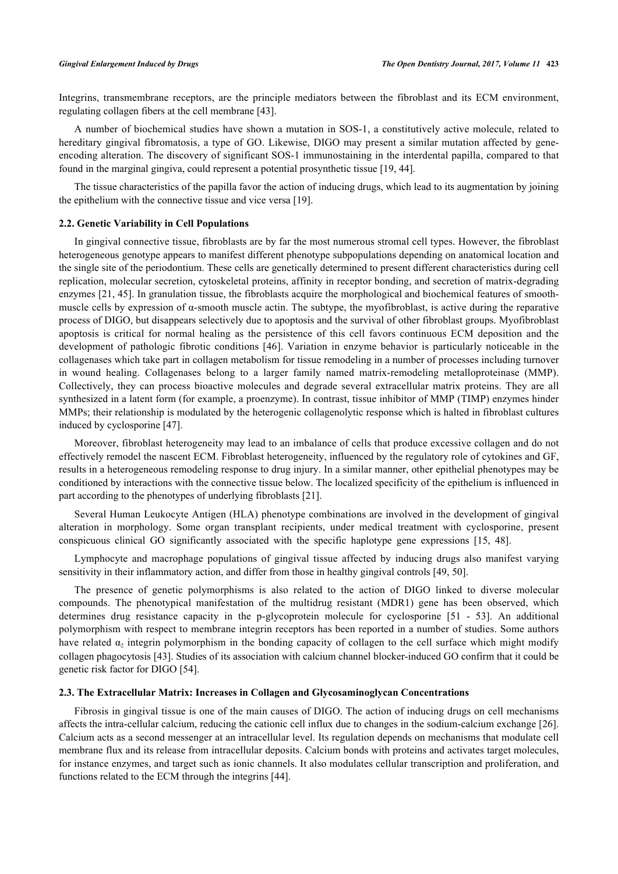Integrins, transmembrane receptors, are the principle mediators between the fibroblast and its ECM environment, regulating collagen fibers at the cell membrane [[43\]](#page-11-14).

A number of biochemical studies have shown a mutation in SOS-1, a constitutively active molecule, related to hereditary gingival fibromatosis, a type of GO. Likewise, DIGO may present a similar mutation affected by geneencoding alteration. The discovery of significant SOS-1 immunostaining in the interdental papilla, compared to that found in the marginal gingiva, could represent a potential prosynthetic tissue [\[19](#page-10-10), [44](#page-12-0)].

The tissue characteristics of the papilla favor the action of inducing drugs, which lead to its augmentation by joining the epithelium with the connective tissue and vice versa [[19\]](#page-10-10).

# **2.2. Genetic Variability in Cell Populations**

In gingival connective tissue, fibroblasts are by far the most numerous stromal cell types. However, the fibroblast heterogeneous genotype appears to manifest different phenotype subpopulations depending on anatomical location and the single site of the periodontium. These cells are genetically determined to present different characteristics during cell replication, molecular secretion, cytoskeletal proteins, affinity in receptor bonding, and secretion of matrix-degrading enzymes [\[21](#page-10-12), [45\]](#page-12-1). In granulation tissue, the fibroblasts acquire the morphological and biochemical features of smoothmuscle cells by expression of  $\alpha$ -smooth muscle actin. The subtype, the myofibroblast, is active during the reparative process of DIGO, but disappears selectively due to apoptosis and the survival of other fibroblast groups. Myofibroblast apoptosis is critical for normal healing as the persistence of this cell favors continuous ECM deposition and the development of pathologic fibrotic conditions[[46](#page-12-2)]. Variation in enzyme behavior is particularly noticeable in the collagenases which take part in collagen metabolism for tissue remodeling in a number of processes including turnover in wound healing. Collagenases belong to a larger family named matrix-remodeling metalloproteinase (MMP). Collectively, they can process bioactive molecules and degrade several extracellular matrix proteins. They are all synthesized in a latent form (for example, a proenzyme). In contrast, tissue inhibitor of MMP (TIMP) enzymes hinder MMPs; their relationship is modulated by the heterogenic collagenolytic response which is halted in fibroblast cultures induced by cyclosporine [\[47](#page-12-3)].

Moreover, fibroblast heterogeneity may lead to an imbalance of cells that produce excessive collagen and do not effectively remodel the nascent ECM. Fibroblast heterogeneity, influenced by the regulatory role of cytokines and GF, results in a heterogeneous remodeling response to drug injury. In a similar manner, other epithelial phenotypes may be conditioned by interactions with the connective tissue below. The localized specificity of the epithelium is influenced in part according to the phenotypes of underlying fibroblasts [\[21](#page-10-12)].

Several Human Leukocyte Antigen (HLA) phenotype combinations are involved in the development of gingival alteration in morphology. Some organ transplant recipients, under medical treatment with cyclosporine, present conspicuous clinical GO significantly associated with the specific haplotype gene expressions [\[15](#page-10-6), [48](#page-12-4)].

Lymphocyte and macrophage populations of gingival tissue affected by inducing drugs also manifest varying sensitivity in their inflammatory action, and differ from those in healthy gingival controls [[49,](#page-12-5) [50\]](#page-12-6).

The presence of genetic polymorphisms is also related to the action of DIGO linked to diverse molecular compounds. The phenotypical manifestation of the multidrug resistant (MDR1) gene has been observed, which determines drug resistance capacity in the p-glycoprotein molecule for cyclosporine[[51](#page-12-7) - [53\]](#page-12-8). An additional polymorphism with respect to membrane integrin receptors has been reported in a number of studies. Some authors have related  $\alpha_2$  integrin polymorphism in the bonding capacity of collagen to the cell surface which might modify collagen phagocytosis [\[43](#page-11-14)]. Studies of its association with calcium channel blocker-induced GO confirm that it could be genetic risk factor for DIGO [\[54](#page-12-9)].

# **2.3. The Extracellular Matrix: Increases in Collagen and Glycosaminoglycan Concentrations**

Fibrosis in gingival tissue is one of the main causes of DIGO. The action of inducing drugs on cell mechanisms affects the intra-cellular calcium, reducing the cationic cell influx due to changes in the sodium-calcium exchange [[26\]](#page-11-1). Calcium acts as a second messenger at an intracellular level. Its regulation depends on mechanisms that modulate cell membrane flux and its release from intracellular deposits. Calcium bonds with proteins and activates target molecules, for instance enzymes, and target such as ionic channels. It also modulates cellular transcription and proliferation, and functions related to the ECM through the integrins [\[44](#page-12-0)].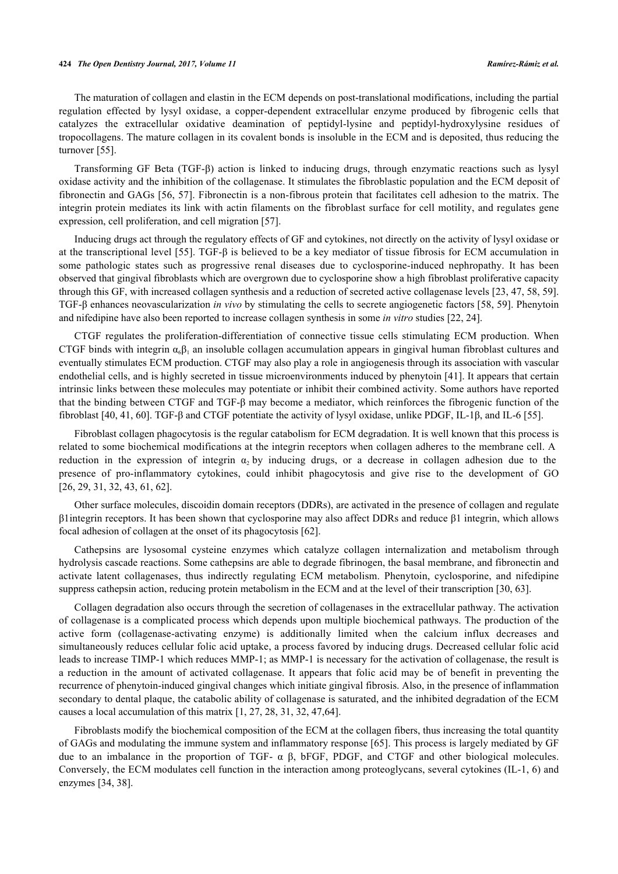#### **424** *The Open Dentistry Journal, 2017, Volume 11 Ramírez-Rámiz et al.*

The maturation of collagen and elastin in the ECM depends on post-translational modifications, including the partial regulation effected by lysyl oxidase, a copper-dependent extracellular enzyme produced by fibrogenic cells that catalyzes the extracellular oxidative deamination of peptidyl-lysine and peptidyl-hydroxylysine residues of tropocollagens. The mature collagen in its covalent bonds is insoluble in the ECM and is deposited, thus reducing the turnover [\[55](#page-12-10)].

Transforming GF Beta (TGF-β) action is linked to inducing drugs, through enzymatic reactions such as lysyl oxidase activity and the inhibition of the collagenase. It stimulates the fibroblastic population and the ECM deposit of fibronectin and GAGs [[56,](#page-12-11) [57](#page-12-12)]. Fibronectin is a non-fibrous protein that facilitates cell adhesion to the matrix. The integrin protein mediates its link with actin filaments on the fibroblast surface for cell motility, and regulates gene expression, cell proliferation, and cell migration [[57\]](#page-12-12).

Inducing drugs act through the regulatory effects of GF and cytokines, not directly on the activity of lysyl oxidase or at the transcriptional level [[55](#page-12-10)]. TGF-β is believed to be a key mediator of tissue fibrosis for ECM accumulation in some pathologic states such as progressive renal diseases due to cyclosporine-induced nephropathy. It has been observed that gingival fibroblasts which are overgrown due to cyclosporine show a high fibroblast proliferative capacity through this GF, with increased collagen synthesis and a reduction of secreted active collagenase levels [[23,](#page-10-15) [47,](#page-12-3) [58,](#page-12-13) [59\]](#page-12-14). TGF-β enhances neovascularization *in vivo* by stimulating the cells to secrete angiogenetic factors [\[58](#page-12-13), [59\]](#page-12-14). Phenytoin and nifedipine have also been reported to increase collagen synthesis in some *in vitro* studies [\[22](#page-10-13), [24](#page-10-14)].

CTGF regulates the proliferation-differentiation of connective tissue cells stimulating ECM production. When CTGF binds with integrin  $\alpha_6\beta_1$  an insoluble collagen accumulation appears in gingival human fibroblast cultures and eventually stimulates ECM production. CTGF may also play a role in angiogenesis through its association with vascular endothelial cells, and is highly secreted in tissue microenvironments induced by phenytoin [[41\]](#page-11-12). It appears that certain intrinsic links between these molecules may potentiate or inhibit their combined activity. Some authors have reported that the binding between CTGF and TGF-β may become a mediator, which reinforces the fibrogenic function of the fibroblast [[40,](#page-11-11) [41,](#page-11-12) [60\]](#page-12-15). TGF-β and CTGF potentiate the activity of lysyl oxidase, unlike PDGF, IL-1β, and IL-6 [[55\]](#page-12-10).

Fibroblast collagen phagocytosis is the regular catabolism for ECM degradation. It is well known that this process is related to some biochemical modifications at the integrin receptors when collagen adheres to the membrane cell. A reduction in the expression of integrin  $\alpha_2$  by inducing drugs, or a decrease in collagen adhesion due to the presence of pro-inflammatory cytokines, could inhibit phagocytosis and give rise to the development of GO [\[26](#page-11-1), [29](#page-11-2), [31](#page-11-15), [32](#page-11-3), [43](#page-11-14), [61](#page-12-16), [62](#page-12-17)].

Other surface molecules, discoidin domain receptors (DDRs), are activated in the presence of collagen and regulate β1integrin receptors. It has been shown that cyclosporine may also affect DDRs and reduce β1 integrin, which allows focal adhesion of collagen at the onset of its phagocytosis [\[62](#page-12-17)].

Cathepsins are lysosomal cysteine enzymes which catalyze collagen internalization and metabolism through hydrolysis cascade reactions. Some cathepsins are able to degrade fibrinogen, the basal membrane, and fibronectin and activate latent collagenases, thus indirectly regulating ECM metabolism. Phenytoin, cyclosporine, and nifedipine suppress cathepsin action, reducing protein metabolism in the ECM and at the level of their transcription [\[30](#page-11-16), [63](#page-12-18)].

Collagen degradation also occurs through the secretion of collagenases in the extracellular pathway. The activation of collagenase is a complicated process which depends upon multiple biochemical pathways. The production of the active form (collagenase-activating enzyme) is additionally limited when the calcium influx decreases and simultaneously reduces cellular folic acid uptake, a process favored by inducing drugs. Decreased cellular folic acid leads to increase TIMP-1 which reduces MMP-1; as MMP-1 is necessary for the activation of collagenase, the result is a reduction in the amount of activated collagenase. It appears that folic acid may be of benefit in preventing the recurrence of phenytoin-induced gingival changes which initiate gingival fibrosis. Also, in the presence of inflammation secondary to dental plaque, the catabolic ability of collagenase is saturated, and the inhibited degradation of the ECM causes a local accumulation of this matrix [\[1](#page-9-0), [27](#page-11-17), [28](#page-11-0), [31](#page-11-15), [32](#page-11-3), [47](#page-12-3),[64\]](#page-13-0).

Fibroblasts modify the biochemical composition of the ECM at the collagen fibers, thus increasing the total quantity of GAGs and modulating the immune system and inflammatory response [\[65\]](#page-13-1). This process is largely mediated by GF due to an imbalance in the proportion of TGF-  $\alpha$   $\beta$ , bFGF, PDGF, and CTGF and other biological molecules. Conversely, the ECM modulates cell function in the interaction among proteoglycans, several cytokines (IL-1, 6) and enzymes [[34,](#page-11-5) [38\]](#page-11-9).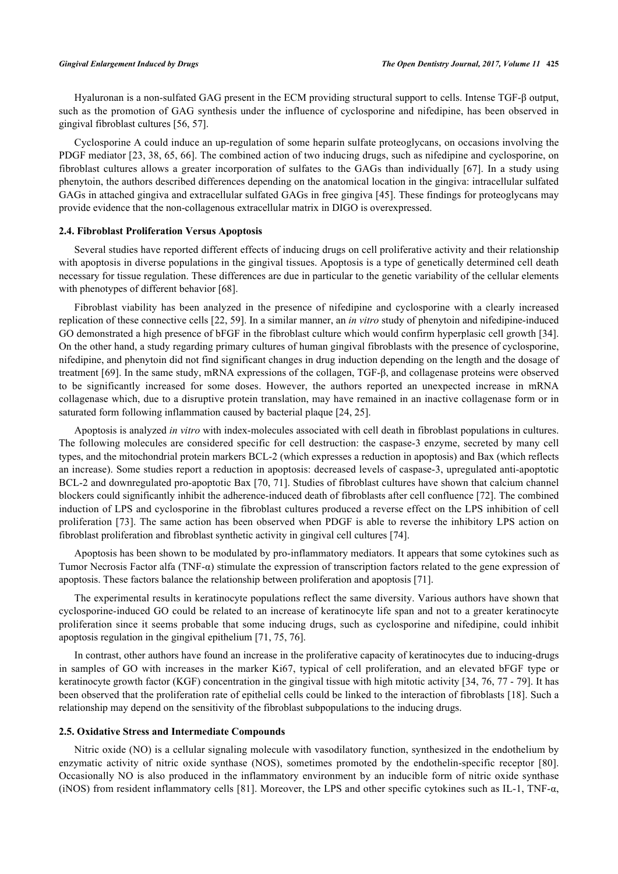Hyaluronan is a non-sulfated GAG present in the ECM providing structural support to cells. Intense TGF-β output, such as the promotion of GAG synthesis under the influence of cyclosporine and nifedipine, has been observed in gingival fibroblast cultures [\[56](#page-12-11), [57](#page-12-12)].

Cyclosporine A could induce an up-regulation of some heparin sulfate proteoglycans, on occasions involving the PDGF mediator [[23,](#page-10-15) [38](#page-11-9), [65,](#page-13-1) [66](#page-13-2)]. The combined action of two inducing drugs, such as nifedipine and cyclosporine, on fibroblast cultures allows a greater incorporation of sulfates to the GAGs than individually [[67](#page-13-3)]. In a study using phenytoin, the authors described differences depending on the anatomical location in the gingiva: intracellular sulfated GAGs in attached gingiva and extracellular sulfated GAGs in free gingiva [\[45\]](#page-12-1). These findings for proteoglycans may provide evidence that the non-collagenous extracellular matrix in DIGO is overexpressed.

### **2.4. Fibroblast Proliferation Versus Apoptosis**

Several studies have reported different effects of inducing drugs on cell proliferative activity and their relationship with apoptosis in diverse populations in the gingival tissues. Apoptosis is a type of genetically determined cell death necessary for tissue regulation. These differences are due in particular to the genetic variability of the cellular elements with phenotypes of different behavior [[68\]](#page-13-4).

Fibroblast viability has been analyzed in the presence of nifedipine and cyclosporine with a clearly increased replication of these connective cells [[22,](#page-10-13) [59\]](#page-12-14). In a similar manner, an *in vitro* study of phenytoin and nifedipine-induced GO demonstrated a high presence of bFGF in the fibroblast culture which would confirm hyperplasic cell growth [[34\]](#page-11-5). On the other hand, a study regarding primary cultures of human gingival fibroblasts with the presence of cyclosporine, nifedipine, and phenytoin did not find significant changes in drug induction depending on the length and the dosage of treatment [[69](#page-13-5)]. In the same study, mRNA expressions of the collagen, TGF-β, and collagenase proteins were observed to be significantly increased for some doses. However, the authors reported an unexpected increase in mRNA collagenase which, due to a disruptive protein translation, may have remained in an inactive collagenase form or in saturated form following inflammation caused by bacterial plaque [[24,](#page-10-14) [25\]](#page-11-18).

Apoptosis is analyzed *in vitro* with index-molecules associated with cell death in fibroblast populations in cultures. The following molecules are considered specific for cell destruction: the caspase-3 enzyme, secreted by many cell types, and the mitochondrial protein markers BCL-2 (which expresses a reduction in apoptosis) and Bax (which reflects an increase). Some studies report a reduction in apoptosis: decreased levels of caspase-3, upregulated anti-apoptotic BCL-2 and downregulated pro-apoptotic Bax [[70](#page-13-6), [71\]](#page-13-7). Studies of fibroblast cultures have shown that calcium channel blockers could significantly inhibit the adherence-induced death of fibroblasts after cell confluence [\[72](#page-13-8)]. The combined induction of LPS and cyclosporine in the fibroblast cultures produced a reverse effect on the LPS inhibition of cell proliferation [[73](#page-13-9)]. The same action has been observed when PDGF is able to reverse the inhibitory LPS action on fibroblast proliferation and fibroblast synthetic activity in gingival cell cultures [[74\]](#page-13-10).

Apoptosis has been shown to be modulated by pro-inflammatory mediators. It appears that some cytokines such as Tumor Necrosis Factor alfa (TNF-α) stimulate the expression of transcription factors related to the gene expression of apoptosis. These factors balance the relationship between proliferation and apoptosis [[71\]](#page-13-7).

The experimental results in keratinocyte populations reflect the same diversity. Various authors have shown that cyclosporine-induced GO could be related to an increase of keratinocyte life span and not to a greater keratinocyte proliferation since it seems probable that some inducing drugs, such as cyclosporine and nifedipine, could inhibit apoptosis regulation in the gingival epithelium [[71,](#page-13-7) [75,](#page-13-11) [76\]](#page-13-12).

In contrast, other authors have found an increase in the proliferative capacity of keratinocytes due to inducing-drugs in samples of GO with increases in the marker Ki67, typical of cell proliferation, and an elevated bFGF type or keratinocyte growth factor (KGF) concentration in the gingival tissue with high mitotic activity [[34,](#page-11-5) [76,](#page-13-12) [77](#page-13-13) - [79\]](#page-13-14). It has been observed that the proliferation rate of epithelial cells could be linked to the interaction of fibroblasts [\[18\]](#page-10-8). Such a relationship may depend on the sensitivity of the fibroblast subpopulations to the inducing drugs.

# **2.5. Oxidative Stress and Intermediate Compounds**

Nitric oxide (NO) is a cellular signaling molecule with vasodilatory function, synthesized in the endothelium by enzymatic activity of nitric oxide synthase (NOS), sometimes promoted by the endothelin-specific receptor [\[80\]](#page-13-15). Occasionally NO is also produced in the inflammatory environment by an inducible form of nitric oxide synthase (iNOS) from resident inflammatory cells [[81\]](#page-13-16). Moreover, the LPS and other specific cytokines such as IL-1, TNF-α,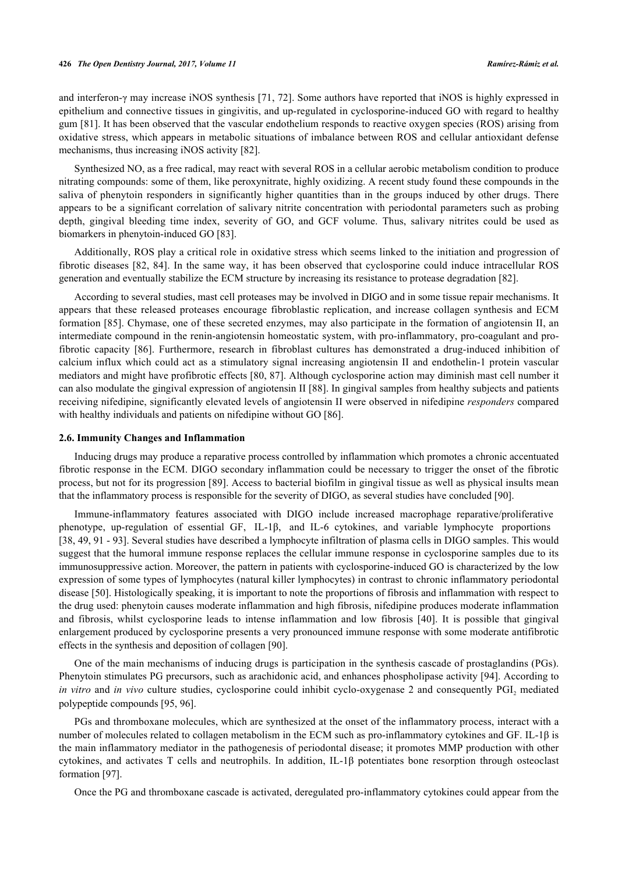and interferon-γ may increase iNOS synthesis [[71](#page-13-7), [72\]](#page-13-8). Some authors have reported that iNOS is highly expressed in epithelium and connective tissues in gingivitis, and up-regulated in cyclosporine-induced GO with regard to healthy gum [[81\]](#page-13-16). It has been observed that the vascular endothelium responds to reactive oxygen species (ROS) arising from oxidative stress, which appears in metabolic situations of imbalance between ROS and cellular antioxidant defense mechanisms, thus increasing iNOS activity [\[82](#page-13-17)].

Synthesized NO, as a free radical, may react with several ROS in a cellular aerobic metabolism condition to produce nitrating compounds: some of them, like peroxynitrate, highly oxidizing. A recent study found these compounds in the saliva of phenytoin responders in significantly higher quantities than in the groups induced by other drugs. There appears to be a significant correlation of salivary nitrite concentration with periodontal parameters such as probing depth, gingival bleeding time index, severity of GO, and GCF volume. Thus, salivary nitrites could be used as biomarkers in phenytoin-induced GO [\[83](#page-13-18)].

Additionally, ROS play a critical role in oxidative stress which seems linked to the initiation and progression of fibrotic diseases [\[82](#page-13-17), [84\]](#page-14-0). In the same way, it has been observed that cyclosporine could induce intracellular ROS generation and eventually stabilize the ECM structure by increasing its resistance to protease degradation [[82\]](#page-13-17).

According to several studies, mast cell proteases may be involved in DIGO and in some tissue repair mechanisms. It appears that these released proteases encourage fibroblastic replication, and increase collagen synthesis and ECM formation [[85\]](#page-14-1). Chymase, one of these secreted enzymes, may also participate in the formation of angiotensin II, an intermediate compound in the renin-angiotensin homeostatic system, with pro-inflammatory, pro-coagulant and profibrotic capacity[[86](#page-14-2)]. Furthermore, research in fibroblast cultures has demonstrated a drug-induced inhibition of calcium influx which could act as a stimulatory signal increasing angiotensin II and endothelin-1 protein vascular mediators and might have profibrotic effects [\[80](#page-13-15), [87\]](#page-14-3). Although cyclosporine action may diminish mast cell number it can also modulate the gingival expression of angiotensin II [[88\]](#page-14-4). In gingival samples from healthy subjects and patients receiving nifedipine, significantly elevated levels of angiotensin II were observed in nifedipine *responders* compared with healthy individuals and patients on nifedipine without GO [\[86](#page-14-2)].

#### **2.6. Immunity Changes and Inflammation**

Inducing drugs may produce a reparative process controlled by inflammation which promotes a chronic accentuated fibrotic response in the ECM. DIGO secondary inflammation could be necessary to trigger the onset of the fibrotic process, but not for its progression [\[89](#page-14-5)]. Access to bacterial biofilm in gingival tissue as well as physical insults mean that the inflammatory process is responsible for the severity of DIGO, as several studies have concluded [[90\]](#page-14-6).

Immune-inflammatory features associated with DIGO include increased macrophage reparative/proliferative phenotype, up-regulation of essential GF, IL-1β, and IL-6 cytokines, and variable lymphocyte proportions [\[38](#page-11-9), [49](#page-12-5), [91](#page-14-7) - [93\]](#page-14-8). Several studies have described a lymphocyte infiltration of plasma cells in DIGO samples. This would suggest that the humoral immune response replaces the cellular immune response in cyclosporine samples due to its immunosuppressive action. Moreover, the pattern in patients with cyclosporine-induced GO is characterized by the low expression of some types of lymphocytes (natural killer lymphocytes) in contrast to chronic inflammatory periodontal disease [[50\]](#page-12-6). Histologically speaking, it is important to note the proportions of fibrosis and inflammation with respect to the drug used: phenytoin causes moderate inflammation and high fibrosis, nifedipine produces moderate inflammation and fibrosis, whilst cyclosporine leads to intense inflammation and low fibrosis[[40\]](#page-11-11). It is possible that gingival enlargement produced by cyclosporine presents a very pronounced immune response with some moderate antifibrotic effects in the synthesis and deposition of collagen [[90\]](#page-14-6).

One of the main mechanisms of inducing drugs is participation in the synthesis cascade of prostaglandins (PGs). Phenytoin stimulates PG precursors, such as arachidonic acid, and enhances phospholipase activity [[94\]](#page-14-9). According to *in vitro* and *in vivo* culture studies, cyclosporine could inhibit cyclo-oxygenase 2 and consequently PGI<sub>2</sub> mediated polypeptide compounds [\[95](#page-14-10), [96](#page-14-11)].

PGs and thromboxane molecules, which are synthesized at the onset of the inflammatory process, interact with a number of molecules related to collagen metabolism in the ECM such as pro-inflammatory cytokines and GF. IL-1β is the main inflammatory mediator in the pathogenesis of periodontal disease; it promotes MMP production with other cytokines, and activates T cells and neutrophils. In addition, IL-1β potentiates bone resorption through osteoclast formation [[97\]](#page-14-12).

Once the PG and thromboxane cascade is activated, deregulated pro-inflammatory cytokines could appear from the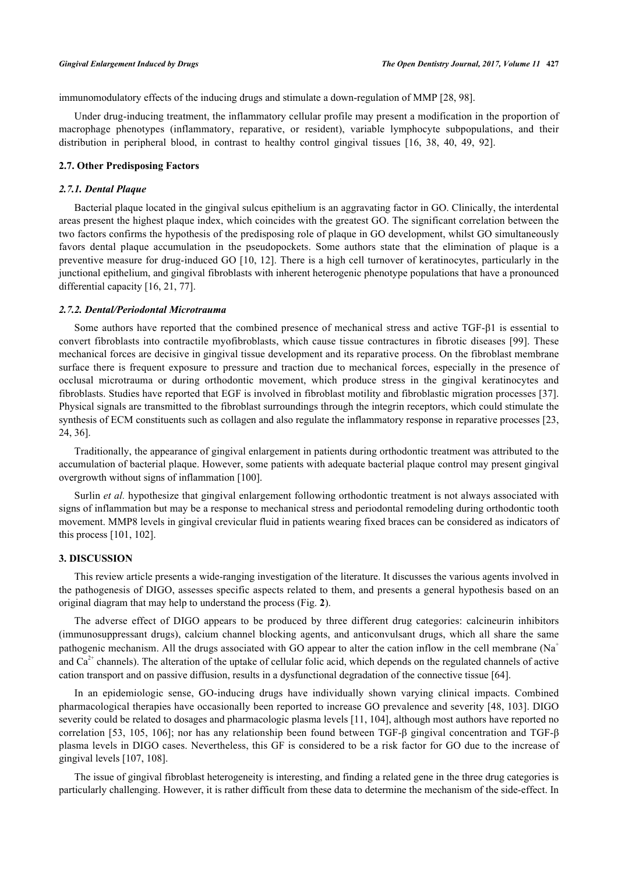immunomodulatory effects of the inducing drugs and stimulate a down-regulation of MMP [\[28](#page-11-0), [98](#page-14-13)].

Under drug-inducing treatment, the inflammatory cellular profile may present a modification in the proportion of macrophage phenotypes (inflammatory, reparative, or resident), variable lymphocyte subpopulations, and their distribution in peripheral blood, in contrast to healthy control gingival tissues[[16,](#page-10-7) [38,](#page-11-9) [40,](#page-11-11) [49,](#page-12-5) [92\]](#page-14-14).

# **2.7. Other Predisposing Factors**

# *2.7.1. Dental Plaque*

Bacterial plaque located in the gingival sulcus epithelium is an aggravating factor in GO. Clinically, the interdental areas present the highest plaque index, which coincides with the greatest GO. The significant correlation between the two factors confirms the hypothesis of the predisposing role of plaque in GO development, whilst GO simultaneously favors dental plaque accumulation in the pseudopockets. Some authors state that the elimination of plaque is a preventive measure for drug-induced GO [[10,](#page-10-4) [12\]](#page-10-16). There is a high cell turnover of keratinocytes, particularly in the junctional epithelium, and gingival fibroblasts with inherent heterogenic phenotype populations that have a pronounced differential capacity [[16,](#page-10-7) [21,](#page-10-12) [77\]](#page-13-13).

### *2.7.2. Dental/Periodontal Microtrauma*

Some authors have reported that the combined presence of mechanical stress and active TGF-β1 is essential to convert fibroblasts into contractile myofibroblasts, which cause tissue contractures in fibrotic diseases [\[99\]](#page-14-15). These mechanical forces are decisive in gingival tissue development and its reparative process. On the fibroblast membrane surface there is frequent exposure to pressure and traction due to mechanical forces, especially in the presence of occlusal microtrauma or during orthodontic movement, which produce stress in the gingival keratinocytes and fibroblasts. Studies have reported that EGF is involved in fibroblast motility and fibroblastic migration processes [[37\]](#page-11-8). Physical signals are transmitted to the fibroblast surroundings through the integrin receptors, which could stimulate the synthesis of ECM constituents such as collagen and also regulate the inflammatory response in reparative processes [\[23](#page-10-15), [24,](#page-10-14) [36\]](#page-11-7).

Traditionally, the appearance of gingival enlargement in patients during orthodontic treatment was attributed to the accumulation of bacterial plaque. However, some patients with adequate bacterial plaque control may present gingival overgrowth without signs of inflammation [[100\]](#page-14-16).

Surlin *et al.* hypothesize that gingival enlargement following orthodontic treatment is not always associated with signs of inflammation but may be a response to mechanical stress and periodontal remodeling during orthodontic tooth movement. MMP8 levels in gingival crevicular fluid in patients wearing fixed braces can be considered as indicators of this process [\[101](#page-14-17), [102](#page-14-18)].

# **3. DISCUSSION**

This review article presents a wide-ranging investigation of the literature. It discusses the various agents involved in the pathogenesis of DIGO, assesses specific aspects related to them, and presents a general hypothesis based on an original diagram that may help to understand the process (Fig. **[2](#page-8-0)**).

The adverse effect of DIGO appears to be produced by three different drug categories: calcineurin inhibitors (immunosuppressant drugs), calcium channel blocking agents, and anticonvulsant drugs, which all share the same pathogenic mechanism. All the drugs associated with GO appear to alter the cation inflow in the cell membrane (Na<sup>+</sup> and  $Ca<sup>2+</sup>$  channels). The alteration of the uptake of cellular folic acid, which depends on the regulated channels of active cation transport and on passive diffusion, results in a dysfunctional degradation of the connective tissue [[64\]](#page-13-0).

In an epidemiologic sense, GO-inducing drugs have individually shown varying clinical impacts. Combined pharmacological therapies have occasionally been reported to increase GO prevalence and severity [[48](#page-12-4), [103](#page-15-0)]. DIGO severity could be related to dosages and pharmacologic plasma levels [\[11](#page-10-5), [104](#page-15-1)], although most authors have reported no correlation [\[53](#page-12-8), [105,](#page-15-2) [106](#page-15-3)]; nor has any relationship been found between TGF-β gingival concentration and TGF-β plasma levels in DIGO cases. Nevertheless, this GF is considered to be a risk factor for GO due to the increase of gingival levels [\[107](#page-15-4), [108](#page-15-5)].

The issue of gingival fibroblast heterogeneity is interesting, and finding a related gene in the three drug categories is particularly challenging. However, it is rather difficult from these data to determine the mechanism of the side-effect. In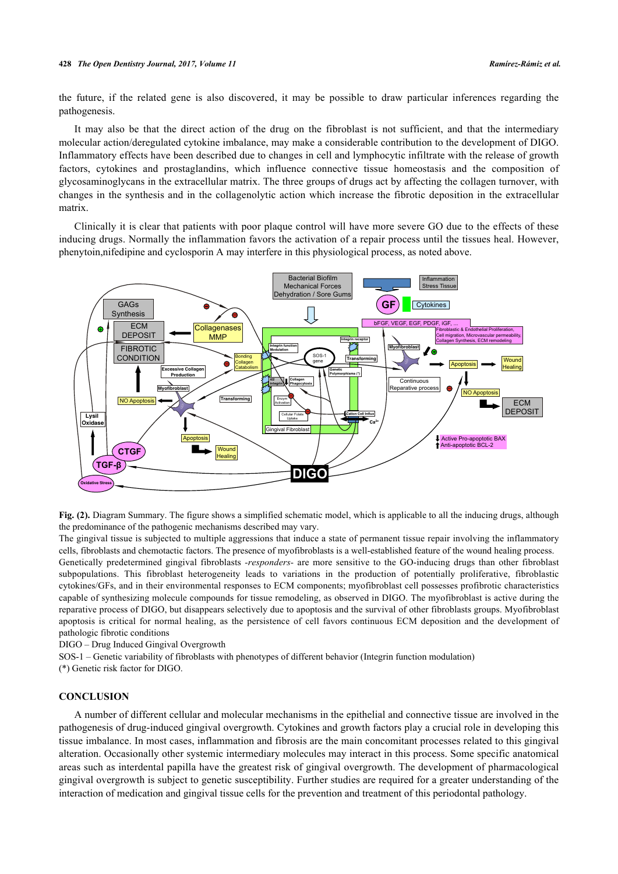the future, if the related gene is also discovered, it may be possible to draw particular inferences regarding the pathogenesis.

It may also be that the direct action of the drug on the fibroblast is not sufficient, and that the intermediary molecular action/deregulated cytokine imbalance, may make a considerable contribution to the development of DIGO. Inflammatory effects have been described due to changes in cell and lymphocytic infiltrate with the release of growth factors, cytokines and prostaglandins, which influence connective tissue homeostasis and the composition of glycosaminoglycans in the extracellular matrix. The three groups of drugs act by affecting the collagen turnover, with changes in the synthesis and in the collagenolytic action which increase the fibrotic deposition in the extracellular matrix.

Clinically it is clear that patients with poor plaque control will have more severe GO due to the effects of these inducing drugs. Normally the inflammation favors the activation of a repair process until the tissues heal. However, phenytoin,nifedipine and cyclosporin A may interfere in this physiological process, as noted above.

<span id="page-8-0"></span>

**Fig. (2).** Diagram Summary. The figure shows a simplified schematic model, which is applicable to all the inducing drugs, although the predominance of the pathogenic mechanisms described may vary.

The gingival tissue is subjected to multiple aggressions that induce a state of permanent tissue repair involving the inflammatory cells, fibroblasts and chemotactic factors. The presence of myofibroblasts is a well-established feature of the wound healing process. Genetically predetermined gingival fibroblasts *-responders-* are more sensitive to the GO-inducing drugs than other fibroblast subpopulations. This fibroblast heterogeneity leads to variations in the production of potentially proliferative, fibroblastic cytokines/GFs, and in their environmental responses to ECM components; myofibroblast cell possesses profibrotic characteristics capable of synthesizing molecule compounds for tissue remodeling, as observed in DIGO. The myofibroblast is active during the reparative process of DIGO, but disappears selectively due to apoptosis and the survival of other fibroblasts groups. Myofibroblast apoptosis is critical for normal healing, as the persistence of cell favors continuous ECM deposition and the development of pathologic fibrotic conditions

DIGO – Drug Induced Gingival Overgrowth

SOS-1 – Genetic variability of fibroblasts with phenotypes of different behavior (Integrin function modulation)

(\*) Genetic risk factor for DIGO.

# **CONCLUSION**

A number of different cellular and molecular mechanisms in the epithelial and connective tissue are involved in the pathogenesis of drug-induced gingival overgrowth. Cytokines and growth factors play a crucial role in developing this tissue imbalance. In most cases, inflammation and fibrosis are the main concomitant processes related to this gingival alteration. Occasionally other systemic intermediary molecules may interact in this process. Some specific anatomical areas such as interdental papilla have the greatest risk of gingival overgrowth. The development of pharmacological gingival overgrowth is subject to genetic susceptibility. Further studies are required for a greater understanding of the interaction of medication and gingival tissue cells for the prevention and treatment of this periodontal pathology.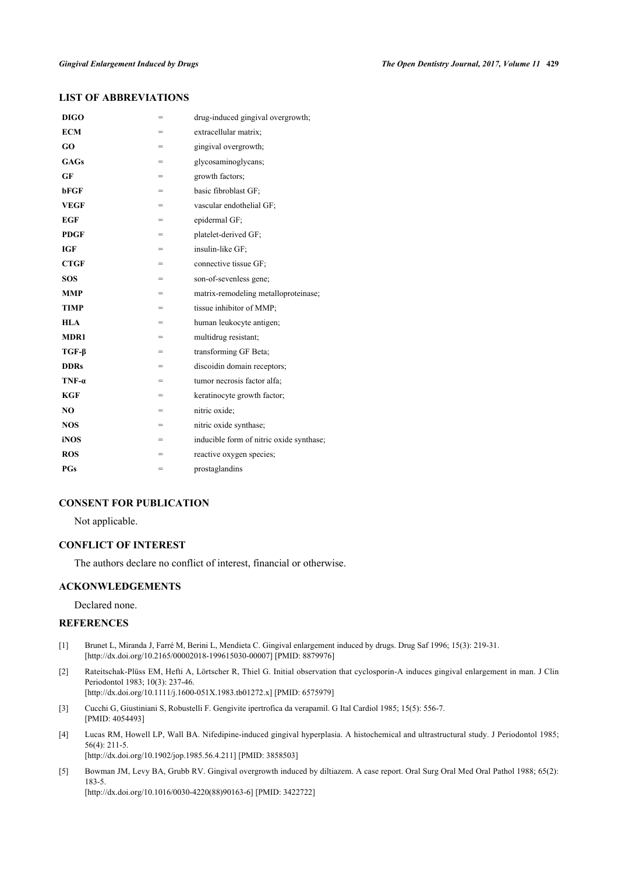# **LIST OF ABBREVIATIONS**

| <b>DIGO</b>    | $=$ | drug-induced gingival overgrowth;        |
|----------------|-----|------------------------------------------|
| <b>ECM</b>     | =   | extracellular matrix;                    |
| GO             | =   | gingival overgrowth;                     |
| GAGs           | =   | glycosaminoglycans;                      |
| GF             | =   | growth factors;                          |
| <b>bFGF</b>    | =   | basic fibroblast GF;                     |
| VEGF           | =   | vascular endothelial GF;                 |
| EGF            | $=$ | epidermal GF;                            |
| <b>PDGF</b>    | =   | platelet-derived GF;                     |
| <b>IGF</b>     | =   | insulin-like GF;                         |
| <b>CTGF</b>    | =   | connective tissue GF;                    |
| <b>SOS</b>     | =   | son-of-sevenless gene;                   |
| <b>MMP</b>     | $=$ | matrix-remodeling metalloproteinase;     |
| <b>TIMP</b>    | =   | tissue inhibitor of MMP;                 |
| <b>HLA</b>     | =   | human leukocyte antigen;                 |
| MDR1           | =   | multidrug resistant;                     |
| $TGF-\beta$    | =   | transforming GF Beta;                    |
| <b>DDRs</b>    | =   | discoidin domain receptors;              |
| $TNF-a$        | =   | tumor necrosis factor alfa;              |
| <b>KGF</b>     | =   | keratinocyte growth factor;              |
| N <sub>O</sub> | =   | nitric oxide;                            |
| <b>NOS</b>     | =   | nitric oxide synthase;                   |
| <b>iNOS</b>    | =   | inducible form of nitric oxide synthase; |
| <b>ROS</b>     | $=$ | reactive oxygen species;                 |
| <b>PGs</b>     | =   | prostaglandins                           |
|                |     |                                          |

# **CONSENT FOR PUBLICATION**

Not applicable.

# **CONFLICT OF INTEREST**

The authors declare no conflict of interest, financial or otherwise.

# **ACKONWLEDGEMENTS**

Declared none.

# **REFERENCES**

- <span id="page-9-0"></span>[1] Brunet L, Miranda J, Farré M, Berini L, Mendieta C. Gingival enlargement induced by drugs. Drug Saf 1996; 15(3): 219-31. [\[http://dx.doi.org/10.2165/00002018-199615030-00007](http://dx.doi.org/10.2165/00002018-199615030-00007)] [PMID: [8879976\]](http://www.ncbi.nlm.nih.gov/pubmed/8879976)
- [2] Rateitschak-Plüss EM, Hefti A, Lörtscher R, Thiel G. Initial observation that cyclosporin-A induces gingival enlargement in man. J Clin Periodontol 1983; 10(3): 237-46. [\[http://dx.doi.org/10.1111/j.1600-051X.1983.tb01272.x\]](http://dx.doi.org/10.1111/j.1600-051X.1983.tb01272.x) [PMID: [6575979](http://www.ncbi.nlm.nih.gov/pubmed/6575979)]
- [3] Cucchi G, Giustiniani S, Robustelli F. Gengivite ipertrofica da verapamil. G Ital Cardiol 1985; 15(5): 556-7. [PMID: [4054493\]](http://www.ncbi.nlm.nih.gov/pubmed/4054493)
- <span id="page-9-1"></span>[4] Lucas RM, Howell LP, Wall BA. Nifedipine-induced gingival hyperplasia. A histochemical and ultrastructural study. J Periodontol 1985; 56(4): 211-5. [\[http://dx.doi.org/10.1902/jop.1985.56.4.211](http://dx.doi.org/10.1902/jop.1985.56.4.211)] [PMID: [3858503\]](http://www.ncbi.nlm.nih.gov/pubmed/3858503)
- [5] Bowman JM, Levy BA, Grubb RV. Gingival overgrowth induced by diltiazem. A case report. Oral Surg Oral Med Oral Pathol 1988; 65(2): 183-5.

[\[http://dx.doi.org/10.1016/0030-4220\(88\)90163-6](http://dx.doi.org/10.1016/0030-4220(88)90163-6)] [PMID: [3422722](http://www.ncbi.nlm.nih.gov/pubmed/3422722)]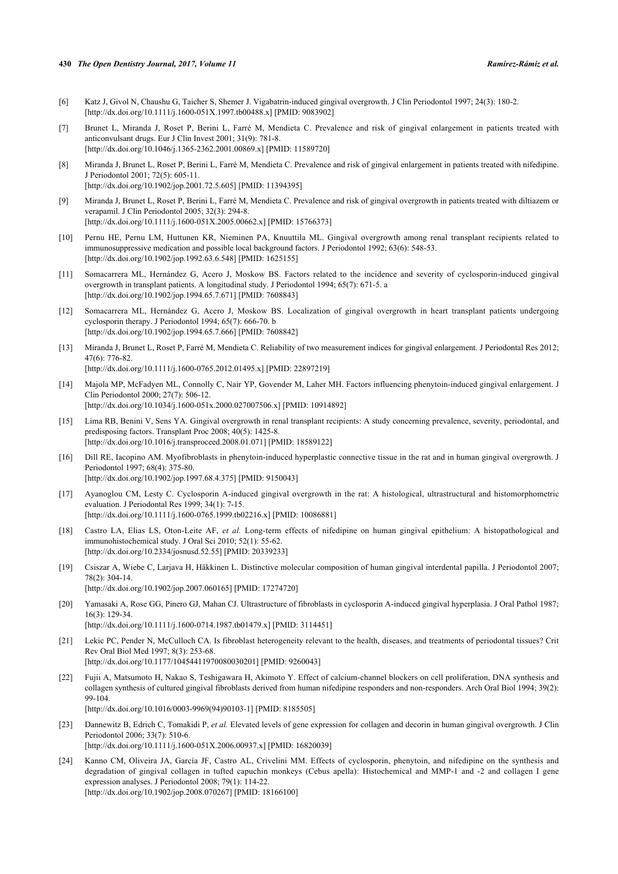#### **430** *The Open Dentistry Journal, 2017, Volume 11 Ramírez-Rámiz et al.*

- <span id="page-10-0"></span>[6] Katz J, Givol N, Chaushu G, Taicher S, Shemer J. Vigabatrin-induced gingival overgrowth. J Clin Periodontol 1997; 24(3): 180-2. [\[http://dx.doi.org/10.1111/j.1600-051X.1997.tb00488.x\]](http://dx.doi.org/10.1111/j.1600-051X.1997.tb00488.x) [PMID: [9083902](http://www.ncbi.nlm.nih.gov/pubmed/9083902)]
- <span id="page-10-1"></span>[7] Brunet L, Miranda J, Roset P, Berini L, Farré M, Mendieta C. Prevalence and risk of gingival enlargement in patients treated with anticonvulsant drugs. Eur J Clin Invest 2001; 31(9): 781-8. [\[http://dx.doi.org/10.1046/j.1365-2362.2001.00869.x\]](http://dx.doi.org/10.1046/j.1365-2362.2001.00869.x) [PMID: [11589720](http://www.ncbi.nlm.nih.gov/pubmed/11589720)]
- <span id="page-10-2"></span>[8] Miranda J, Brunet L, Roset P, Berini L, Farré M, Mendieta C. Prevalence and risk of gingival enlargement in patients treated with nifedipine. J Periodontol 2001; 72(5): 605-11. [\[http://dx.doi.org/10.1902/jop.2001.72.5.605](http://dx.doi.org/10.1902/jop.2001.72.5.605)] [PMID: [11394395\]](http://www.ncbi.nlm.nih.gov/pubmed/11394395)
- <span id="page-10-3"></span>[9] Miranda J, Brunet L, Roset P, Berini L, Farré M, Mendieta C. Prevalence and risk of gingival overgrowth in patients treated with diltiazem or verapamil. J Clin Periodontol 2005; 32(3): 294-8.

[\[http://dx.doi.org/10.1111/j.1600-051X.2005.00662.x](http://dx.doi.org/10.1111/j.1600-051X.2005.00662.x)] [PMID: [15766373](http://www.ncbi.nlm.nih.gov/pubmed/15766373)]

- <span id="page-10-4"></span>[10] Pernu HE, Pernu LM, Huttunen KR, Nieminen PA, Knuuttila ML. Gingival overgrowth among renal transplant recipients related to immunosuppressive medication and possible local background factors. J Periodontol 1992; 63(6): 548-53. [\[http://dx.doi.org/10.1902/jop.1992.63.6.548](http://dx.doi.org/10.1902/jop.1992.63.6.548)] [PMID: [1625155\]](http://www.ncbi.nlm.nih.gov/pubmed/1625155)
- <span id="page-10-5"></span>[11] Somacarrera ML, Hernández G, Acero J, Moskow BS. Factors related to the incidence and severity of cyclosporin-induced gingival overgrowth in transplant patients. A longitudinal study. J Periodontol 1994; 65(7): 671-5. a [\[http://dx.doi.org/10.1902/jop.1994.65.7.671](http://dx.doi.org/10.1902/jop.1994.65.7.671)] [PMID: [7608843\]](http://www.ncbi.nlm.nih.gov/pubmed/7608843)
- <span id="page-10-16"></span>[12] Somacarrera ML, Hernández G, Acero J, Moskow BS. Localization of gingival overgrowth in heart transplant patients undergoing cyclosporin therapy. J Periodontol 1994; 65(7): 666-70. b [\[http://dx.doi.org/10.1902/jop.1994.65.7.666](http://dx.doi.org/10.1902/jop.1994.65.7.666)] [PMID: [7608842\]](http://www.ncbi.nlm.nih.gov/pubmed/7608842)
- <span id="page-10-9"></span>[13] Miranda J, Brunet L, Roset P, Farré M, Mendieta C. Reliability of two measurement indices for gingival enlargement. J Periodontal Res 2012; 47(6): 776-82.

[\[http://dx.doi.org/10.1111/j.1600-0765.2012.01495.x\]](http://dx.doi.org/10.1111/j.1600-0765.2012.01495.x) [PMID: [22897219](http://www.ncbi.nlm.nih.gov/pubmed/22897219)]

- [14] Majola MP, McFadyen ML, Connolly C, Nair YP, Govender M, Laher MH. Factors influencing phenytoin-induced gingival enlargement. J Clin Periodontol 2000; 27(7): 506-12. [\[http://dx.doi.org/10.1034/j.1600-051x.2000.027007506.x\]](http://dx.doi.org/10.1034/j.1600-051x.2000.027007506.x) [PMID: [10914892](http://www.ncbi.nlm.nih.gov/pubmed/10914892)]
- <span id="page-10-6"></span>[15] Lima RB, Benini V, Sens YA. Gingival overgrowth in renal transplant recipients: A study concerning prevalence, severity, periodontal, and predisposing factors. Transplant Proc 2008; 40(5): 1425-8. [\[http://dx.doi.org/10.1016/j.transproceed.2008.01.071\]](http://dx.doi.org/10.1016/j.transproceed.2008.01.071) [PMID: [18589122](http://www.ncbi.nlm.nih.gov/pubmed/18589122)]
- <span id="page-10-7"></span>[16] Dill RE, Iacopino AM. Myofibroblasts in phenytoin-induced hyperplastic connective tissue in the rat and in human gingival overgrowth. J Periodontol 1997; 68(4): 375-80. [\[http://dx.doi.org/10.1902/jop.1997.68.4.375](http://dx.doi.org/10.1902/jop.1997.68.4.375)] [PMID: [9150043\]](http://www.ncbi.nlm.nih.gov/pubmed/9150043)
- [17] Ayanoglou CM, Lesty C. Cyclosporin A-induced gingival overgrowth in the rat: A histological, ultrastructural and histomorphometric evaluation. J Periodontal Res 1999; 34(1): 7-15. [\[http://dx.doi.org/10.1111/j.1600-0765.1999.tb02216.x\]](http://dx.doi.org/10.1111/j.1600-0765.1999.tb02216.x) [PMID: [10086881](http://www.ncbi.nlm.nih.gov/pubmed/10086881)]
- <span id="page-10-8"></span>[18] Castro LA, Elias LS, Oton-Leite AF, *et al.* Long-term effects of nifedipine on human gingival epithelium: A histopathological and immunohistochemical study. J Oral Sci 2010; 52(1): 55-62. [\[http://dx.doi.org/10.2334/josnusd.52.55](http://dx.doi.org/10.2334/josnusd.52.55)] [PMID: [20339233\]](http://www.ncbi.nlm.nih.gov/pubmed/20339233)
- <span id="page-10-10"></span>[19] Csiszar A, Wiebe C, Larjava H, Häkkinen L. Distinctive molecular composition of human gingival interdental papilla. J Periodontol 2007; 78(2): 304-14. [\[http://dx.doi.org/10.1902/jop.2007.060165](http://dx.doi.org/10.1902/jop.2007.060165)] [PMID: [17274720\]](http://www.ncbi.nlm.nih.gov/pubmed/17274720)
- <span id="page-10-11"></span>[20] Yamasaki A, Rose GG, Pinero GJ, Mahan CJ. Ultrastructure of fibroblasts in cyclosporin A-induced gingival hyperplasia. J Oral Pathol 1987; 16(3): 129-34.

[\[http://dx.doi.org/10.1111/j.1600-0714.1987.tb01479.x\]](http://dx.doi.org/10.1111/j.1600-0714.1987.tb01479.x) [PMID: [3114451](http://www.ncbi.nlm.nih.gov/pubmed/3114451)]

- <span id="page-10-12"></span>[21] Lekic PC, Pender N, McCulloch CA. Is fibroblast heterogeneity relevant to the health, diseases, and treatments of periodontal tissues? Crit Rev Oral Biol Med 1997; 8(3): 253-68. [\[http://dx.doi.org/10.1177/10454411970080030201\]](http://dx.doi.org/10.1177/10454411970080030201) [PMID: [9260043](http://www.ncbi.nlm.nih.gov/pubmed/9260043)]
- <span id="page-10-13"></span>[22] Fujii A, Matsumoto H, Nakao S, Teshigawara H, Akimoto Y. Effect of calcium-channel blockers on cell proliferation, DNA synthesis and collagen synthesis of cultured gingival fibroblasts derived from human nifedipine responders and non-responders. Arch Oral Biol 1994; 39(2): 99-104. [\[http://dx.doi.org/10.1016/0003-9969\(94\)90103-1](http://dx.doi.org/10.1016/0003-9969(94)90103-1)] [PMID: [8185505](http://www.ncbi.nlm.nih.gov/pubmed/8185505)]
- <span id="page-10-15"></span>[23] Dannewitz B, Edrich C, Tomakidi P, *et al.* Elevated levels of gene expression for collagen and decorin in human gingival overgrowth. J Clin Periodontol 2006; 33(7): 510-6. [\[http://dx.doi.org/10.1111/j.1600-051X.2006.00937.x](http://dx.doi.org/10.1111/j.1600-051X.2006.00937.x)] [PMID: [16820039](http://www.ncbi.nlm.nih.gov/pubmed/16820039)]
- <span id="page-10-14"></span>[24] Kanno CM, Oliveira JA, García JF, Castro AL, Crivelini MM. Effects of cyclosporin, phenytoin, and nifedipine on the synthesis and degradation of gingival collagen in tufted capuchin monkeys (Cebus apella): Histochemical and MMP-1 and -2 and collagen I gene expression analyses. J Periodontol 2008; 79(1): 114-22. [\[http://dx.doi.org/10.1902/jop.2008.070267](http://dx.doi.org/10.1902/jop.2008.070267)] [PMID: [18166100\]](http://www.ncbi.nlm.nih.gov/pubmed/18166100)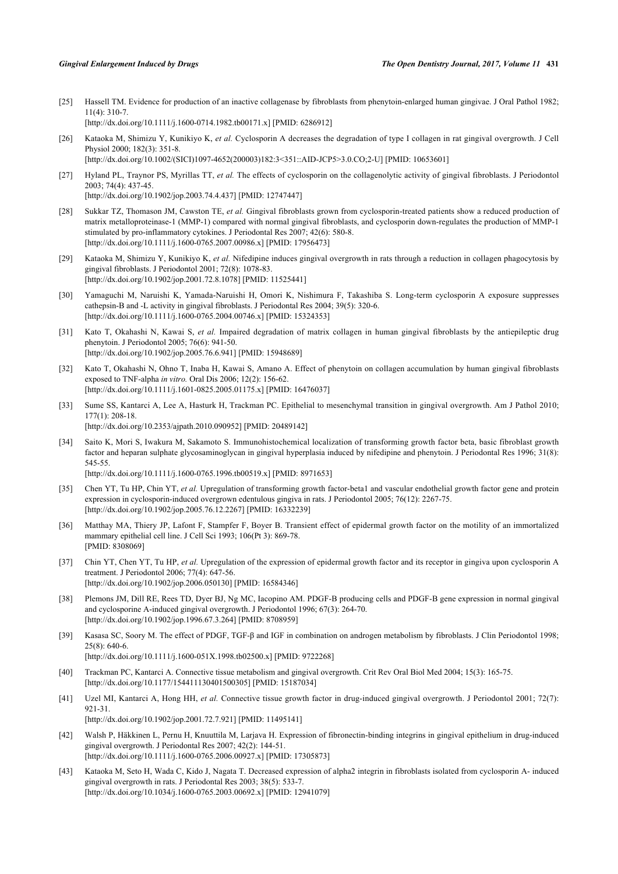- <span id="page-11-18"></span>[25] Hassell TM. Evidence for production of an inactive collagenase by fibroblasts from phenytoin-enlarged human gingivae. J Oral Pathol 1982;  $11(4)$ : 310-7 [\[http://dx.doi.org/10.1111/j.1600-0714.1982.tb00171.x\]](http://dx.doi.org/10.1111/j.1600-0714.1982.tb00171.x) [PMID: [6286912](http://www.ncbi.nlm.nih.gov/pubmed/6286912)]
- <span id="page-11-1"></span>[26] Kataoka M, Shimizu Y, Kunikiyo K, *et al.* Cyclosporin A decreases the degradation of type I collagen in rat gingival overgrowth. J Cell Physiol 2000; 182(3): 351-8. [\[http://dx.doi.org/10.1002/\(SICI\)1097-4652\(200003\)182:3<351::AID-JCP5>3.0.CO;2-U](http://dx.doi.org/10.1002/(SICI)1097-4652(200003)182:3<351::AID-JCP5>3.0.CO;2-U)] [PMID: [10653601](http://www.ncbi.nlm.nih.gov/pubmed/10653601)]
- <span id="page-11-17"></span>[27] Hyland PL, Traynor PS, Myrillas TT, *et al.* The effects of cyclosporin on the collagenolytic activity of gingival fibroblasts. J Periodontol 2003; 74(4): 437-45. [\[http://dx.doi.org/10.1902/jop.2003.74.4.437](http://dx.doi.org/10.1902/jop.2003.74.4.437)] [PMID: [12747447\]](http://www.ncbi.nlm.nih.gov/pubmed/12747447)

- <span id="page-11-0"></span>[28] Sukkar TZ, Thomason JM, Cawston TE, *et al.* Gingival fibroblasts grown from cyclosporin-treated patients show a reduced production of matrix metalloproteinase-1 (MMP-1) compared with normal gingival fibroblasts, and cyclosporin down-regulates the production of MMP-1 stimulated by pro-inflammatory cytokines. J Periodontal Res 2007; 42(6): 580-8. [\[http://dx.doi.org/10.1111/j.1600-0765.2007.00986.x\]](http://dx.doi.org/10.1111/j.1600-0765.2007.00986.x) [PMID: [17956473](http://www.ncbi.nlm.nih.gov/pubmed/17956473)]
- <span id="page-11-2"></span>[29] Kataoka M, Shimizu Y, Kunikiyo K, *et al.* Nifedipine induces gingival overgrowth in rats through a reduction in collagen phagocytosis by gingival fibroblasts. J Periodontol 2001; 72(8): 1078-83. [\[http://dx.doi.org/10.1902/jop.2001.72.8.1078](http://dx.doi.org/10.1902/jop.2001.72.8.1078)] [PMID: [11525441\]](http://www.ncbi.nlm.nih.gov/pubmed/11525441)
- <span id="page-11-16"></span>[30] Yamaguchi M, Naruishi K, Yamada-Naruishi H, Omori K, Nishimura F, Takashiba S. Long-term cyclosporin A exposure suppresses cathepsin-B and -L activity in gingival fibroblasts. J Periodontal Res 2004; 39(5): 320-6. [\[http://dx.doi.org/10.1111/j.1600-0765.2004.00746.x\]](http://dx.doi.org/10.1111/j.1600-0765.2004.00746.x) [PMID: [15324353](http://www.ncbi.nlm.nih.gov/pubmed/15324353)]
- <span id="page-11-15"></span>[31] Kato T, Okahashi N, Kawai S, *et al.* Impaired degradation of matrix collagen in human gingival fibroblasts by the antiepileptic drug phenytoin. J Periodontol 2005; 76(6): 941-50. [\[http://dx.doi.org/10.1902/jop.2005.76.6.941](http://dx.doi.org/10.1902/jop.2005.76.6.941)] [PMID: [15948689\]](http://www.ncbi.nlm.nih.gov/pubmed/15948689)
- <span id="page-11-3"></span>[32] Kato T, Okahashi N, Ohno T, Inaba H, Kawai S, Amano A. Effect of phenytoin on collagen accumulation by human gingival fibroblasts exposed to TNF-alpha *in vitro.* Oral Dis 2006; 12(2): 156-62. [\[http://dx.doi.org/10.1111/j.1601-0825.2005.01175.x\]](http://dx.doi.org/10.1111/j.1601-0825.2005.01175.x) [PMID: [16476037](http://www.ncbi.nlm.nih.gov/pubmed/16476037)]
- <span id="page-11-4"></span>[33] Sume SS, Kantarci A, Lee A, Hasturk H, Trackman PC. Epithelial to mesenchymal transition in gingival overgrowth. Am J Pathol 2010; 177(1): 208-18. [\[http://dx.doi.org/10.2353/ajpath.2010.090952](http://dx.doi.org/10.2353/ajpath.2010.090952)] [PMID: [20489142\]](http://www.ncbi.nlm.nih.gov/pubmed/20489142)
- <span id="page-11-5"></span>[34] Saito K, Mori S, Iwakura M, Sakamoto S. Immunohistochemical localization of transforming growth factor beta, basic fibroblast growth factor and heparan sulphate glycosaminoglycan in gingival hyperplasia induced by nifedipine and phenytoin. J Periodontal Res 1996; 31(8): 545-55.

[\[http://dx.doi.org/10.1111/j.1600-0765.1996.tb00519.x\]](http://dx.doi.org/10.1111/j.1600-0765.1996.tb00519.x) [PMID: [8971653](http://www.ncbi.nlm.nih.gov/pubmed/8971653)]

- <span id="page-11-6"></span>[35] Chen YT, Tu HP, Chin YT, *et al.* Upregulation of transforming growth factor-beta1 and vascular endothelial growth factor gene and protein expression in cyclosporin-induced overgrown edentulous gingiva in rats. J Periodontol 2005; 76(12): 2267-75. [\[http://dx.doi.org/10.1902/jop.2005.76.12.2267](http://dx.doi.org/10.1902/jop.2005.76.12.2267)] [PMID: [16332239\]](http://www.ncbi.nlm.nih.gov/pubmed/16332239)
- <span id="page-11-7"></span>[36] Matthay MA, Thiery JP, Lafont F, Stampfer F, Boyer B. Transient effect of epidermal growth factor on the motility of an immortalized mammary epithelial cell line. J Cell Sci 1993; 106(Pt 3): 869-78. [PMID: [8308069\]](http://www.ncbi.nlm.nih.gov/pubmed/8308069)
- <span id="page-11-8"></span>[37] Chin YT, Chen YT, Tu HP, *et al.* Upregulation of the expression of epidermal growth factor and its receptor in gingiva upon cyclosporin A treatment. J Periodontol 2006; 77(4): 647-56. [\[http://dx.doi.org/10.1902/jop.2006.050130](http://dx.doi.org/10.1902/jop.2006.050130)] [PMID: [16584346\]](http://www.ncbi.nlm.nih.gov/pubmed/16584346)
- <span id="page-11-9"></span>[38] Plemons JM, Dill RE, Rees TD, Dyer BJ, Ng MC, Iacopino AM. PDGF-B producing cells and PDGF-B gene expression in normal gingival and cyclosporine A-induced gingival overgrowth. J Periodontol 1996; 67(3): 264-70. [\[http://dx.doi.org/10.1902/jop.1996.67.3.264](http://dx.doi.org/10.1902/jop.1996.67.3.264)] [PMID: [8708959\]](http://www.ncbi.nlm.nih.gov/pubmed/8708959)
- <span id="page-11-10"></span>[39] Kasasa SC, Soory M. The effect of PDGF, TGF-β and IGF in combination on androgen metabolism by fibroblasts. J Clin Periodontol 1998; 25(8): 640-6.

[\[http://dx.doi.org/10.1111/j.1600-051X.1998.tb02500.x\]](http://dx.doi.org/10.1111/j.1600-051X.1998.tb02500.x) [PMID: [9722268](http://www.ncbi.nlm.nih.gov/pubmed/9722268)]

- <span id="page-11-11"></span>[40] Trackman PC, Kantarci A. Connective tissue metabolism and gingival overgrowth. Crit Rev Oral Biol Med 2004; 15(3): 165-75. [\[http://dx.doi.org/10.1177/154411130401500305\]](http://dx.doi.org/10.1177/154411130401500305) [PMID: [15187034](http://www.ncbi.nlm.nih.gov/pubmed/15187034)]
- <span id="page-11-12"></span>[41] Uzel MI, Kantarci A, Hong HH, *et al.* Connective tissue growth factor in drug-induced gingival overgrowth. J Periodontol 2001; 72(7): 921-31. [\[http://dx.doi.org/10.1902/jop.2001.72.7.921](http://dx.doi.org/10.1902/jop.2001.72.7.921)] [PMID: [11495141\]](http://www.ncbi.nlm.nih.gov/pubmed/11495141)
- <span id="page-11-13"></span>[42] Walsh P, Häkkinen L, Pernu H, Knuuttila M, Larjava H. Expression of fibronectin-binding integrins in gingival epithelium in drug-induced gingival overgrowth. J Periodontal Res 2007; 42(2): 144-51. [\[http://dx.doi.org/10.1111/j.1600-0765.2006.00927.x\]](http://dx.doi.org/10.1111/j.1600-0765.2006.00927.x) [PMID: [17305873](http://www.ncbi.nlm.nih.gov/pubmed/17305873)]
- <span id="page-11-14"></span>[43] Kataoka M, Seto H, Wada C, Kido J, Nagata T. Decreased expression of alpha2 integrin in fibroblasts isolated from cyclosporin A- induced gingival overgrowth in rats. J Periodontal Res 2003; 38(5): 533-7. [\[http://dx.doi.org/10.1034/j.1600-0765.2003.00692.x\]](http://dx.doi.org/10.1034/j.1600-0765.2003.00692.x) [PMID: [12941079](http://www.ncbi.nlm.nih.gov/pubmed/12941079)]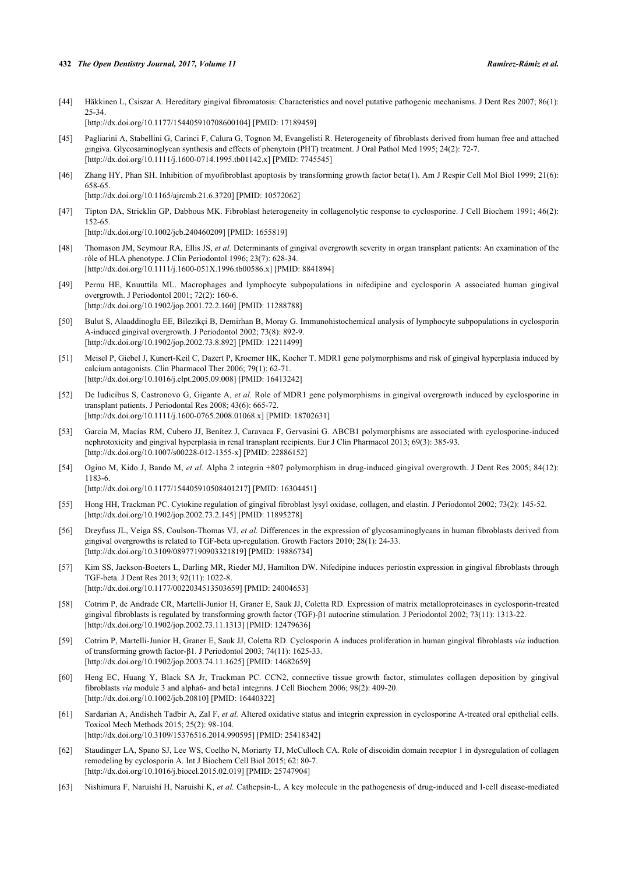#### **432** *The Open Dentistry Journal, 2017, Volume 11 Ramírez-Rámiz et al.*

<span id="page-12-0"></span>[44] Häkkinen L, Csiszar A. Hereditary gingival fibromatosis: Characteristics and novel putative pathogenic mechanisms. J Dent Res 2007; 86(1): 25-34. [\[http://dx.doi.org/10.1177/154405910708600104\]](http://dx.doi.org/10.1177/154405910708600104) [PMID: [17189459](http://www.ncbi.nlm.nih.gov/pubmed/17189459)]

<span id="page-12-1"></span>[45] Pagliarini A, Stabellini G, Carinci F, Calura G, Tognon M, Evangelisti R. Heterogeneity of fibroblasts derived from human free and attached gingiva. Glycosaminoglycan synthesis and effects of phenytoin (PHT) treatment. J Oral Pathol Med 1995; 24(2): 72-7. [\[http://dx.doi.org/10.1111/j.1600-0714.1995.tb01142.x\]](http://dx.doi.org/10.1111/j.1600-0714.1995.tb01142.x) [PMID: [7745545](http://www.ncbi.nlm.nih.gov/pubmed/7745545)]

<span id="page-12-2"></span>[46] Zhang HY, Phan SH. Inhibition of myofibroblast apoptosis by transforming growth factor beta(1). Am J Respir Cell Mol Biol 1999; 21(6): 658-65.

[\[http://dx.doi.org/10.1165/ajrcmb.21.6.3720](http://dx.doi.org/10.1165/ajrcmb.21.6.3720)] [PMID: [10572062\]](http://www.ncbi.nlm.nih.gov/pubmed/10572062)

- <span id="page-12-3"></span>[47] Tipton DA, Stricklin GP, Dabbous MK. Fibroblast heterogeneity in collagenolytic response to cyclosporine. J Cell Biochem 1991; 46(2): 152-65. [\[http://dx.doi.org/10.1002/jcb.240460209\]](http://dx.doi.org/10.1002/jcb.240460209) [PMID: [1655819](http://www.ncbi.nlm.nih.gov/pubmed/1655819)]
- <span id="page-12-4"></span>[48] Thomason JM, Seymour RA, Ellis JS, *et al.* Determinants of gingival overgrowth severity in organ transplant patients: An examination of the rôle of HLA phenotype. J Clin Periodontol 1996; 23(7): 628-34. [\[http://dx.doi.org/10.1111/j.1600-051X.1996.tb00586.x\]](http://dx.doi.org/10.1111/j.1600-051X.1996.tb00586.x) [PMID: [8841894](http://www.ncbi.nlm.nih.gov/pubmed/8841894)]
- <span id="page-12-5"></span>[49] Pernu HE, Knuuttila ML. Macrophages and lymphocyte subpopulations in nifedipine and cyclosporin A associated human gingival overgrowth. J Periodontol 2001; 72(2): 160-6. [\[http://dx.doi.org/10.1902/jop.2001.72.2.160](http://dx.doi.org/10.1902/jop.2001.72.2.160)] [PMID: [11288788\]](http://www.ncbi.nlm.nih.gov/pubmed/11288788)
- <span id="page-12-6"></span>[50] Bulut S, Alaaddinoglu EE, Bilezikçi B, Demirhan B, Moray G. Immunohistochemical analysis of lymphocyte subpopulations in cyclosporin A-induced gingival overgrowth. J Periodontol 2002; 73(8): 892-9. [\[http://dx.doi.org/10.1902/jop.2002.73.8.892](http://dx.doi.org/10.1902/jop.2002.73.8.892)] [PMID: [12211499\]](http://www.ncbi.nlm.nih.gov/pubmed/12211499)
- <span id="page-12-7"></span>[51] Meisel P, Giebel J, Kunert-Keil C, Dazert P, Kroemer HK, Kocher T. MDR1 gene polymorphisms and risk of gingival hyperplasia induced by calcium antagonists. Clin Pharmacol Ther 2006; 79(1): 62-71. [\[http://dx.doi.org/10.1016/j.clpt.2005.09.008](http://dx.doi.org/10.1016/j.clpt.2005.09.008)] [PMID: [16413242\]](http://www.ncbi.nlm.nih.gov/pubmed/16413242)
- [52] De Iudicibus S, Castronovo G, Gigante A, *et al.* Role of MDR1 gene polymorphisms in gingival overgrowth induced by cyclosporine in transplant patients. J Periodontal Res 2008; 43(6): 665-72. [\[http://dx.doi.org/10.1111/j.1600-0765.2008.01068.x\]](http://dx.doi.org/10.1111/j.1600-0765.2008.01068.x) [PMID: [18702631](http://www.ncbi.nlm.nih.gov/pubmed/18702631)]
- <span id="page-12-8"></span>[53] García M, Macías RM, Cubero JJ, Benítez J, Caravaca F, Gervasini G. ABCB1 polymorphisms are associated with cyclosporine-induced nephrotoxicity and gingival hyperplasia in renal transplant recipients. Eur J Clin Pharmacol 2013; 69(3): 385-93. [\[http://dx.doi.org/10.1007/s00228-012-1355-x\]](http://dx.doi.org/10.1007/s00228-012-1355-x) [PMID: [22886152](http://www.ncbi.nlm.nih.gov/pubmed/22886152)]
- <span id="page-12-9"></span>[54] Ogino M, Kido J, Bando M, *et al.* Alpha 2 integrin +807 polymorphism in drug-induced gingival overgrowth. J Dent Res 2005; 84(12): 1183-6. [\[http://dx.doi.org/10.1177/154405910508401217\]](http://dx.doi.org/10.1177/154405910508401217) [PMID: [16304451](http://www.ncbi.nlm.nih.gov/pubmed/16304451)]
- <span id="page-12-10"></span>[55] Hong HH, Trackman PC. Cytokine regulation of gingival fibroblast lysyl oxidase, collagen, and elastin. J Periodontol 2002; 73(2): 145-52. [\[http://dx.doi.org/10.1902/jop.2002.73.2.145](http://dx.doi.org/10.1902/jop.2002.73.2.145)] [PMID: [11895278\]](http://www.ncbi.nlm.nih.gov/pubmed/11895278)
- <span id="page-12-11"></span>[56] Dreyfuss JL, Veiga SS, Coulson-Thomas VJ, *et al.* Differences in the expression of glycosaminoglycans in human fibroblasts derived from gingival overgrowths is related to TGF-beta up-regulation. Growth Factors 2010; 28(1): 24-33. [\[http://dx.doi.org/10.3109/08977190903321819\]](http://dx.doi.org/10.3109/08977190903321819) [PMID: [19886734](http://www.ncbi.nlm.nih.gov/pubmed/19886734)]
- <span id="page-12-12"></span>[57] Kim SS, Jackson-Boeters L, Darling MR, Rieder MJ, Hamilton DW. Nifedipine induces periostin expression in gingival fibroblasts through TGF-beta. J Dent Res 2013; 92(11): 1022-8. [\[http://dx.doi.org/10.1177/0022034513503659\]](http://dx.doi.org/10.1177/0022034513503659) [PMID: [24004653](http://www.ncbi.nlm.nih.gov/pubmed/24004653)]
- <span id="page-12-13"></span>[58] Cotrim P, de Andrade CR, Martelli-Junior H, Graner E, Sauk JJ, Coletta RD. Expression of matrix metalloproteinases in cyclosporin-treated gingival fibroblasts is regulated by transforming growth factor (TGF)-β1 autocrine stimulation. J Periodontol 2002; 73(11): 1313-22. [\[http://dx.doi.org/10.1902/jop.2002.73.11.1313](http://dx.doi.org/10.1902/jop.2002.73.11.1313)] [PMID: [12479636\]](http://www.ncbi.nlm.nih.gov/pubmed/12479636)
- <span id="page-12-14"></span>[59] Cotrim P, Martelli-Junior H, Graner E, Sauk JJ, Coletta RD. Cyclosporin A induces proliferation in human gingival fibroblasts *via* induction of transforming growth factor-β1. J Periodontol 2003; 74(11): 1625-33. [\[http://dx.doi.org/10.1902/jop.2003.74.11.1625](http://dx.doi.org/10.1902/jop.2003.74.11.1625)] [PMID: [14682659\]](http://www.ncbi.nlm.nih.gov/pubmed/14682659)
- <span id="page-12-15"></span>[60] Heng EC, Huang Y, Black SA Jr, Trackman PC. CCN2, connective tissue growth factor, stimulates collagen deposition by gingival fibroblasts *via* module 3 and alpha6- and beta1 integrins. J Cell Biochem 2006; 98(2): 409-20. [\[http://dx.doi.org/10.1002/jcb.20810\]](http://dx.doi.org/10.1002/jcb.20810) [PMID: [16440322](http://www.ncbi.nlm.nih.gov/pubmed/16440322)]
- <span id="page-12-16"></span>[61] Sardarian A, Andisheh Tadbir A, Zal F, *et al.* Altered oxidative status and integrin expression in cyclosporine A-treated oral epithelial cells. Toxicol Mech Methods 2015; 25(2): 98-104. [\[http://dx.doi.org/10.3109/15376516.2014.990595\]](http://dx.doi.org/10.3109/15376516.2014.990595) [PMID: [25418342](http://www.ncbi.nlm.nih.gov/pubmed/25418342)]
- <span id="page-12-17"></span>[62] Staudinger LA, Spano SJ, Lee WS, Coelho N, Moriarty TJ, McCulloch CA. Role of discoidin domain receptor 1 in dysregulation of collagen remodeling by cyclosporin A. Int J Biochem Cell Biol 2015; 62: 80-7. [\[http://dx.doi.org/10.1016/j.biocel.2015.02.019\]](http://dx.doi.org/10.1016/j.biocel.2015.02.019) [PMID: [25747904](http://www.ncbi.nlm.nih.gov/pubmed/25747904)]
- <span id="page-12-18"></span>[63] Nishimura F, Naruishi H, Naruishi K, *et al.* Cathepsin-L, A key molecule in the pathogenesis of drug-induced and I-cell disease-mediated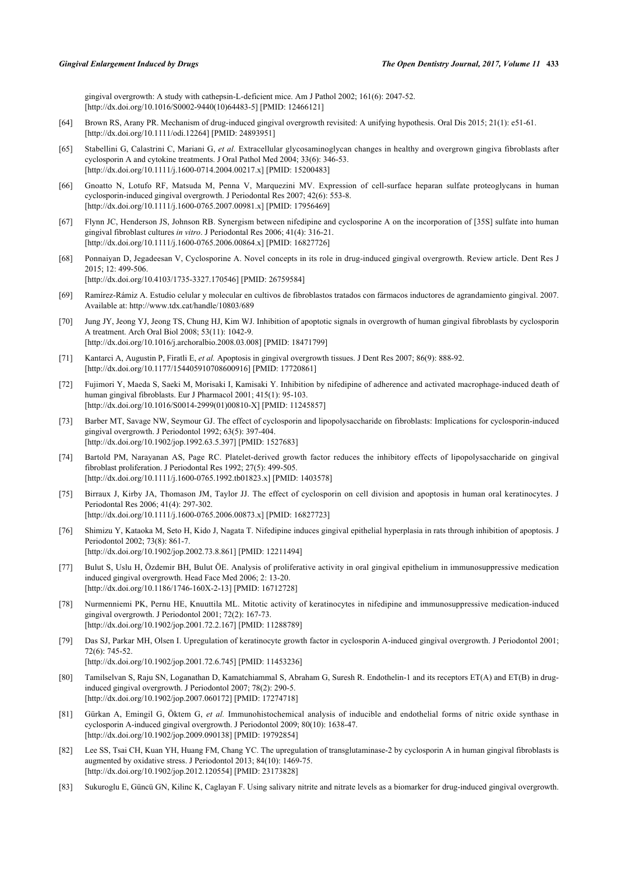gingival overgrowth: A study with cathepsin-L-deficient mice. Am J Pathol 2002; 161(6): 2047-52. [\[http://dx.doi.org/10.1016/S0002-9440\(10\)64483-5\]](http://dx.doi.org/10.1016/S0002-9440(10)64483-5) [PMID: [12466121](http://www.ncbi.nlm.nih.gov/pubmed/12466121)]

- <span id="page-13-0"></span>[64] Brown RS, Arany PR. Mechanism of drug-induced gingival overgrowth revisited: A unifying hypothesis. Oral Dis 2015; 21(1): e51-61. [\[http://dx.doi.org/10.1111/odi.12264](http://dx.doi.org/10.1111/odi.12264)] [PMID: [24893951\]](http://www.ncbi.nlm.nih.gov/pubmed/24893951)
- <span id="page-13-1"></span>[65] Stabellini G, Calastrini C, Mariani G, *et al.* Extracellular glycosaminoglycan changes in healthy and overgrown gingiva fibroblasts after cyclosporin A and cytokine treatments. J Oral Pathol Med 2004; 33(6): 346-53. [\[http://dx.doi.org/10.1111/j.1600-0714.2004.00217.x\]](http://dx.doi.org/10.1111/j.1600-0714.2004.00217.x) [PMID: [15200483](http://www.ncbi.nlm.nih.gov/pubmed/15200483)]
- <span id="page-13-2"></span>[66] Gnoatto N, Lotufo RF, Matsuda M, Penna V, Marquezini MV. Expression of cell-surface heparan sulfate proteoglycans in human cyclosporin-induced gingival overgrowth. J Periodontal Res 2007; 42(6): 553-8. [\[http://dx.doi.org/10.1111/j.1600-0765.2007.00981.x\]](http://dx.doi.org/10.1111/j.1600-0765.2007.00981.x) [PMID: [17956469](http://www.ncbi.nlm.nih.gov/pubmed/17956469)]
- <span id="page-13-3"></span>[67] Flynn JC, Henderson JS, Johnson RB. Synergism between nifedipine and cyclosporine A on the incorporation of [35S] sulfate into human gingival fibroblast cultures *in vitro*. J Periodontal Res 2006; 41(4): 316-21. [\[http://dx.doi.org/10.1111/j.1600-0765.2006.00864.x\]](http://dx.doi.org/10.1111/j.1600-0765.2006.00864.x) [PMID: [16827726](http://www.ncbi.nlm.nih.gov/pubmed/16827726)]
- <span id="page-13-4"></span>[68] Ponnaiyan D, Jegadeesan V, Cyclosporine A. Novel concepts in its role in drug-induced gingival overgrowth. Review article. Dent Res J 2015; 12: 499-506. [\[http://dx.doi.org/10.4103/1735-3327.170546](http://dx.doi.org/10.4103/1735-3327.170546)] [PMID: [26759584](http://www.ncbi.nlm.nih.gov/pubmed/26759584)]
- <span id="page-13-5"></span>[69] Ramírez-Rámiz A. Estudio celular y molecular en cultivos de fibroblastos tratados con fármacos inductores de agrandamiento gingival. 2007. Available at: <http://www.tdx.cat/handle/10803/689>
- <span id="page-13-6"></span>[70] Jung JY, Jeong YJ, Jeong TS, Chung HJ, Kim WJ. Inhibition of apoptotic signals in overgrowth of human gingival fibroblasts by cyclosporin A treatment. Arch Oral Biol 2008; 53(11): 1042-9. [\[http://dx.doi.org/10.1016/j.archoralbio.2008.03.008](http://dx.doi.org/10.1016/j.archoralbio.2008.03.008)] [PMID: [18471799](http://www.ncbi.nlm.nih.gov/pubmed/18471799)]
- <span id="page-13-7"></span>[71] Kantarci A, Augustin P, Firatli E, *et al.* Apoptosis in gingival overgrowth tissues. J Dent Res 2007; 86(9): 888-92. [\[http://dx.doi.org/10.1177/154405910708600916\]](http://dx.doi.org/10.1177/154405910708600916) [PMID: [17720861](http://www.ncbi.nlm.nih.gov/pubmed/17720861)]
- <span id="page-13-8"></span>[72] Fujimori Y, Maeda S, Saeki M, Morisaki I, Kamisaki Y. Inhibition by nifedipine of adherence and activated macrophage-induced death of human gingival fibroblasts. Eur J Pharmacol 2001; 415(1): 95-103. [\[http://dx.doi.org/10.1016/S0014-2999\(01\)00810-X\]](http://dx.doi.org/10.1016/S0014-2999(01)00810-X) [PMID: [11245857](http://www.ncbi.nlm.nih.gov/pubmed/11245857)]
- <span id="page-13-9"></span>[73] Barber MT, Savage NW, Seymour GJ. The effect of cyclosporin and lipopolysaccharide on fibroblasts: Implications for cyclosporin-induced gingival overgrowth. J Periodontol 1992; 63(5): 397-404. [\[http://dx.doi.org/10.1902/jop.1992.63.5.397](http://dx.doi.org/10.1902/jop.1992.63.5.397)] [PMID: [1527683\]](http://www.ncbi.nlm.nih.gov/pubmed/1527683)
- <span id="page-13-10"></span>[74] Bartold PM, Narayanan AS, Page RC. Platelet-derived growth factor reduces the inhibitory effects of lipopolysaccharide on gingival fibroblast proliferation. J Periodontal Res 1992; 27(5): 499-505. [\[http://dx.doi.org/10.1111/j.1600-0765.1992.tb01823.x\]](http://dx.doi.org/10.1111/j.1600-0765.1992.tb01823.x) [PMID: [1403578](http://www.ncbi.nlm.nih.gov/pubmed/1403578)]
- <span id="page-13-11"></span>[75] Birraux J, Kirby JA, Thomason JM, Taylor JJ. The effect of cyclosporin on cell division and apoptosis in human oral keratinocytes. J Periodontal Res 2006; 41(4): 297-302. [\[http://dx.doi.org/10.1111/j.1600-0765.2006.00873.x\]](http://dx.doi.org/10.1111/j.1600-0765.2006.00873.x) [PMID: [16827723](http://www.ncbi.nlm.nih.gov/pubmed/16827723)]
- <span id="page-13-12"></span>[76] Shimizu Y, Kataoka M, Seto H, Kido J, Nagata T. Nifedipine induces gingival epithelial hyperplasia in rats through inhibition of apoptosis. J Periodontol 2002; 73(8): 861-7. [\[http://dx.doi.org/10.1902/jop.2002.73.8.861](http://dx.doi.org/10.1902/jop.2002.73.8.861)] [PMID: [12211494\]](http://www.ncbi.nlm.nih.gov/pubmed/12211494)
- <span id="page-13-13"></span>[77] Bulut S, Uslu H, Özdemir BH, Bulut ÖE. Analysis of proliferative activity in oral gingival epithelium in immunosuppressive medication induced gingival overgrowth. Head Face Med 2006; 2: 13-20. [\[http://dx.doi.org/10.1186/1746-160X-2-13\]](http://dx.doi.org/10.1186/1746-160X-2-13) [PMID: [16712728](http://www.ncbi.nlm.nih.gov/pubmed/16712728)]
- [78] Nurmenniemi PK, Pernu HE, Knuuttila ML. Mitotic activity of keratinocytes in nifedipine and immunosuppressive medication-induced gingival overgrowth. J Periodontol 2001; 72(2): 167-73. [\[http://dx.doi.org/10.1902/jop.2001.72.2.167](http://dx.doi.org/10.1902/jop.2001.72.2.167)] [PMID: [11288789\]](http://www.ncbi.nlm.nih.gov/pubmed/11288789)
- <span id="page-13-14"></span>[79] Das SJ, Parkar MH, Olsen I. Upregulation of keratinocyte growth factor in cyclosporin A-induced gingival overgrowth. J Periodontol 2001; 72(6): 745-52.

[\[http://dx.doi.org/10.1902/jop.2001.72.6.745](http://dx.doi.org/10.1902/jop.2001.72.6.745)] [PMID: [11453236\]](http://www.ncbi.nlm.nih.gov/pubmed/11453236)

- <span id="page-13-15"></span>[80] Tamilselvan S, Raju SN, Loganathan D, Kamatchiammal S, Abraham G, Suresh R. Endothelin-1 and its receptors ET(A) and ET(B) in druginduced gingival overgrowth. J Periodontol 2007; 78(2): 290-5. [\[http://dx.doi.org/10.1902/jop.2007.060172](http://dx.doi.org/10.1902/jop.2007.060172)] [PMID: [17274718\]](http://www.ncbi.nlm.nih.gov/pubmed/17274718)
- <span id="page-13-16"></span>[81] Gürkan A, Emingil G, Öktem G, *et al.* Immunohistochemical analysis of inducible and endothelial forms of nitric oxide synthase in cyclosporin A-induced gingival overgrowth. J Periodontol 2009; 80(10): 1638-47. [\[http://dx.doi.org/10.1902/jop.2009.090138](http://dx.doi.org/10.1902/jop.2009.090138)] [PMID: [19792854\]](http://www.ncbi.nlm.nih.gov/pubmed/19792854)
- <span id="page-13-17"></span>[82] Lee SS, Tsai CH, Kuan YH, Huang FM, Chang YC. The upregulation of transglutaminase-2 by cyclosporin A in human gingival fibroblasts is augmented by oxidative stress. J Periodontol 2013; 84(10): 1469-75. [\[http://dx.doi.org/10.1902/jop.2012.120554](http://dx.doi.org/10.1902/jop.2012.120554)] [PMID: [23173828\]](http://www.ncbi.nlm.nih.gov/pubmed/23173828)
- <span id="page-13-18"></span>[83] Sukuroglu E, Güncü GN, Kilinc K, Caglayan F. Using salivary nitrite and nitrate levels as a biomarker for drug-induced gingival overgrowth.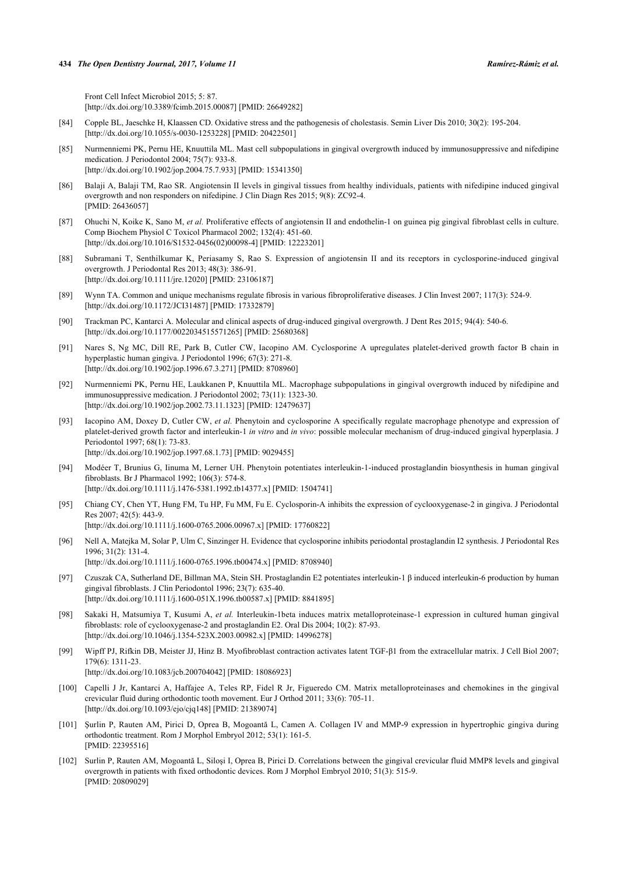Front Cell Infect Microbiol 2015; 5: 87. [\[http://dx.doi.org/10.3389/fcimb.2015.00087](http://dx.doi.org/10.3389/fcimb.2015.00087)] [PMID: [26649282](http://www.ncbi.nlm.nih.gov/pubmed/26649282)]

- <span id="page-14-0"></span>[84] Copple BL, Jaeschke H, Klaassen CD. Oxidative stress and the pathogenesis of cholestasis. Semin Liver Dis 2010; 30(2): 195-204. [\[http://dx.doi.org/10.1055/s-0030-1253228](http://dx.doi.org/10.1055/s-0030-1253228)] [PMID: [20422501\]](http://www.ncbi.nlm.nih.gov/pubmed/20422501)
- <span id="page-14-1"></span>[85] Nurmenniemi PK, Pernu HE, Knuuttila ML. Mast cell subpopulations in gingival overgrowth induced by immunosuppressive and nifedipine medication. J Periodontol 2004; 75(7): 933-8. [\[http://dx.doi.org/10.1902/jop.2004.75.7.933](http://dx.doi.org/10.1902/jop.2004.75.7.933)] [PMID: [15341350\]](http://www.ncbi.nlm.nih.gov/pubmed/15341350)
- <span id="page-14-2"></span>[86] Balaji A, Balaji TM, Rao SR. Angiotensin II levels in gingival tissues from healthy individuals, patients with nifedipine induced gingival overgrowth and non responders on nifedipine. J Clin Diagn Res 2015; 9(8): ZC92-4. [PMID: [26436057\]](http://www.ncbi.nlm.nih.gov/pubmed/26436057)
- <span id="page-14-3"></span>[87] Ohuchi N, Koike K, Sano M, *et al.* Proliferative effects of angiotensin II and endothelin-1 on guinea pig gingival fibroblast cells in culture. Comp Biochem Physiol C Toxicol Pharmacol 2002; 132(4): 451-60. [\[http://dx.doi.org/10.1016/S1532-0456\(02\)00098-4\]](http://dx.doi.org/10.1016/S1532-0456(02)00098-4) [PMID: [12223201](http://www.ncbi.nlm.nih.gov/pubmed/12223201)]
- <span id="page-14-4"></span>[88] Subramani T, Senthilkumar K, Periasamy S, Rao S. Expression of angiotensin II and its receptors in cyclosporine-induced gingival overgrowth. J Periodontal Res 2013; 48(3): 386-91. [\[http://dx.doi.org/10.1111/jre.12020](http://dx.doi.org/10.1111/jre.12020)] [PMID: [23106187\]](http://www.ncbi.nlm.nih.gov/pubmed/23106187)
- <span id="page-14-5"></span>[89] Wynn TA. Common and unique mechanisms regulate fibrosis in various fibroproliferative diseases. J Clin Invest 2007; 117(3): 524-9. [\[http://dx.doi.org/10.1172/JCI31487\]](http://dx.doi.org/10.1172/JCI31487) [PMID: [17332879](http://www.ncbi.nlm.nih.gov/pubmed/17332879)]
- <span id="page-14-6"></span>[90] Trackman PC, Kantarci A. Molecular and clinical aspects of drug-induced gingival overgrowth. J Dent Res 2015; 94(4): 540-6. [\[http://dx.doi.org/10.1177/0022034515571265\]](http://dx.doi.org/10.1177/0022034515571265) [PMID: [25680368](http://www.ncbi.nlm.nih.gov/pubmed/25680368)]
- <span id="page-14-7"></span>[91] Nares S, Ng MC, Dill RE, Park B, Cutler CW, Iacopino AM. Cyclosporine A upregulates platelet-derived growth factor B chain in hyperplastic human gingiva. J Periodontol 1996; 67(3): 271-8. [\[http://dx.doi.org/10.1902/jop.1996.67.3.271](http://dx.doi.org/10.1902/jop.1996.67.3.271)] [PMID: [8708960\]](http://www.ncbi.nlm.nih.gov/pubmed/8708960)
- <span id="page-14-14"></span>[92] Nurmenniemi PK, Pernu HE, Laukkanen P, Knuuttila ML. Macrophage subpopulations in gingival overgrowth induced by nifedipine and immunosuppressive medication. J Periodontol 2002; 73(11): 1323-30. [\[http://dx.doi.org/10.1902/jop.2002.73.11.1323](http://dx.doi.org/10.1902/jop.2002.73.11.1323)] [PMID: [12479637\]](http://www.ncbi.nlm.nih.gov/pubmed/12479637)
- <span id="page-14-8"></span>[93] Iacopino AM, Doxey D, Cutler CW, *et al.* Phenytoin and cyclosporine A specifically regulate macrophage phenotype and expression of platelet-derived growth factor and interleukin-1 *in vitro* and *in vivo*: possible molecular mechanism of drug-induced gingival hyperplasia. J Periodontol 1997; 68(1): 73-83. [\[http://dx.doi.org/10.1902/jop.1997.68.1.73](http://dx.doi.org/10.1902/jop.1997.68.1.73)] [PMID: [9029455\]](http://www.ncbi.nlm.nih.gov/pubmed/9029455)
- <span id="page-14-9"></span>[94] Modéer T, Brunius G, Iinuma M, Lerner UH. Phenytoin potentiates interleukin-1-induced prostaglandin biosynthesis in human gingival fibroblasts. Br J Pharmacol 1992; 106(3): 574-8. [\[http://dx.doi.org/10.1111/j.1476-5381.1992.tb14377.x\]](http://dx.doi.org/10.1111/j.1476-5381.1992.tb14377.x) [PMID: [1504741](http://www.ncbi.nlm.nih.gov/pubmed/1504741)]
- <span id="page-14-10"></span>[95] Chiang CY, Chen YT, Hung FM, Tu HP, Fu MM, Fu E. Cyclosporin-A inhibits the expression of cyclooxygenase-2 in gingiva. J Periodontal Res 2007; 42(5): 443-9. [\[http://dx.doi.org/10.1111/j.1600-0765.2006.00967.x\]](http://dx.doi.org/10.1111/j.1600-0765.2006.00967.x) [PMID: [17760822](http://www.ncbi.nlm.nih.gov/pubmed/17760822)]
- <span id="page-14-11"></span>[96] Nell A, Matejka M, Solar P, Ulm C, Sinzinger H. Evidence that cyclosporine inhibits periodontal prostaglandin I2 synthesis. J Periodontal Res 1996; 31(2): 131-4. [\[http://dx.doi.org/10.1111/j.1600-0765.1996.tb00474.x\]](http://dx.doi.org/10.1111/j.1600-0765.1996.tb00474.x) [PMID: [8708940](http://www.ncbi.nlm.nih.gov/pubmed/8708940)]
- <span id="page-14-12"></span>[97] Czuszak CA, Sutherland DE, Billman MA, Stein SH. Prostaglandin E2 potentiates interleukin-1 β induced interleukin-6 production by human gingival fibroblasts. J Clin Periodontol 1996; 23(7): 635-40. [\[http://dx.doi.org/10.1111/j.1600-051X.1996.tb00587.x\]](http://dx.doi.org/10.1111/j.1600-051X.1996.tb00587.x) [PMID: [8841895](http://www.ncbi.nlm.nih.gov/pubmed/8841895)]
- <span id="page-14-13"></span>[98] Sakaki H, Matsumiya T, Kusumi A, *et al.* Interleukin-1beta induces matrix metalloproteinase-1 expression in cultured human gingival fibroblasts: role of cyclooxygenase-2 and prostaglandin E2. Oral Dis 2004; 10(2): 87-93. [\[http://dx.doi.org/10.1046/j.1354-523X.2003.00982.x](http://dx.doi.org/10.1046/j.1354-523X.2003.00982.x)] [PMID: [14996278](http://www.ncbi.nlm.nih.gov/pubmed/14996278)]
- <span id="page-14-15"></span>[99] Wipff PJ, Rifkin DB, Meister JJ, Hinz B. Myofibroblast contraction activates latent TGF-β1 from the extracellular matrix. J Cell Biol 2007; 179(6): 1311-23. [\[http://dx.doi.org/10.1083/jcb.200704042\]](http://dx.doi.org/10.1083/jcb.200704042) [PMID: [18086923](http://www.ncbi.nlm.nih.gov/pubmed/18086923)]
- <span id="page-14-16"></span>[100] Capelli J Jr, Kantarci A, Haffajee A, Teles RP, Fidel R Jr, Figueredo CM. Matrix metalloproteinases and chemokines in the gingival crevicular fluid during orthodontic tooth movement. Eur J Orthod 2011; 33(6): 705-11. [\[http://dx.doi.org/10.1093/ejo/cjq148\]](http://dx.doi.org/10.1093/ejo/cjq148) [PMID: [21389074](http://www.ncbi.nlm.nih.gov/pubmed/21389074)]
- <span id="page-14-17"></span>[101] Şurlin P, Rauten AM, Pirici D, Oprea B, Mogoantă L, Camen A. Collagen IV and MMP-9 expression in hypertrophic gingiva during orthodontic treatment. Rom J Morphol Embryol 2012; 53(1): 161-5. [PMID: [22395516\]](http://www.ncbi.nlm.nih.gov/pubmed/22395516)
- <span id="page-14-18"></span>[102] Surlin P, Rauten AM, Mogoantă L, Siloşi I, Oprea B, Pirici D. Correlations between the gingival crevicular fluid MMP8 levels and gingival overgrowth in patients with fixed orthodontic devices. Rom J Morphol Embryol 2010; 51(3): 515-9. [PMID: [20809029\]](http://www.ncbi.nlm.nih.gov/pubmed/20809029)